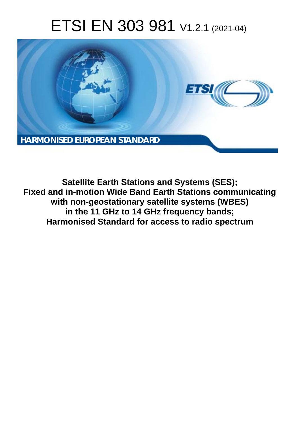# ETSI EN 303 981 V1.2.1 (2021-04)



**Satellite Earth Stations and Systems (SES); Fixed and in-motion Wide Band Earth Stations communicating with non-geostationary satellite systems (WBES) in the 11 GHz to 14 GHz frequency bands; Harmonised Standard for access to radio spectrum**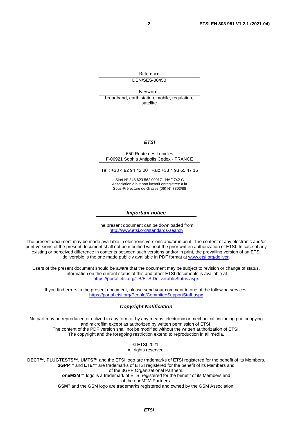Reference DEN/SES-00450

Keywords broadband, earth station, mobile, regulation, satellite

#### *ETSI*

#### 650 Route des Lucioles F-06921 Sophia Antipolis Cedex - FRANCE

Tel.: +33 4 92 94 42 00 Fax: +33 4 93 65 47 16

Siret N° 348 623 562 00017 - NAF 742 C Association à but non lucratif enregistrée à la Sous-Préfecture de Grasse (06) N° 7803/88

#### *Important notice*

The present document can be downloaded from: <http://www.etsi.org/standards-search>

The present document may be made available in electronic versions and/or in print. The content of any electronic and/or print versions of the present document shall not be modified without the prior written authorization of ETSI. In case of any existing or perceived difference in contents between such versions and/or in print, the prevailing version of an ETSI deliverable is the one made publicly available in PDF format at [www.etsi.org/deliver](http://www.etsi.org/deliver).

Users of the present document should be aware that the document may be subject to revision or change of status. Information on the current status of this and other ETSI documents is available at <https://portal.etsi.org/TB/ETSIDeliverableStatus.aspx>

If you find errors in the present document, please send your comment to one of the following services: <https://portal.etsi.org/People/CommiteeSupportStaff.aspx>

#### *Copyright Notification*

No part may be reproduced or utilized in any form or by any means, electronic or mechanical, including photocopying and microfilm except as authorized by written permission of ETSI. The content of the PDF version shall not be modified without the written authorization of ETSI. The copyright and the foregoing restriction extend to reproduction in all media.

> © ETSI 2021. All rights reserved.

**DECT™**, **PLUGTESTS™**, **UMTS™** and the ETSI logo are trademarks of ETSI registered for the benefit of its Members. **3GPP™** and **LTE™** are trademarks of ETSI registered for the benefit of its Members and of the 3GPP Organizational Partners. **oneM2M™** logo is a trademark of ETSI registered for the benefit of its Members and of the oneM2M Partners. **GSM®** and the GSM logo are trademarks registered and owned by the GSM Association.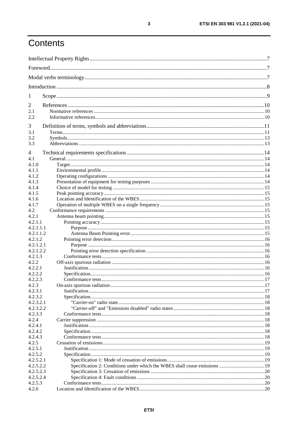## Contents

| $\mathbf{I}$         |  |  |  |
|----------------------|--|--|--|
| 2                    |  |  |  |
| 2.1                  |  |  |  |
| 2.2                  |  |  |  |
| 3                    |  |  |  |
| 3.1                  |  |  |  |
| 3.2                  |  |  |  |
| 3.3                  |  |  |  |
| 4                    |  |  |  |
| 4.1                  |  |  |  |
| 4.1.0                |  |  |  |
| 4.1.1                |  |  |  |
| 4.1.2                |  |  |  |
| 4.1.3                |  |  |  |
| 4.1.4                |  |  |  |
| 4.1.5                |  |  |  |
| 4.1.6                |  |  |  |
| 4.1.7                |  |  |  |
| 4.2                  |  |  |  |
| 4.2.1                |  |  |  |
| 4.2.1.1              |  |  |  |
| 4.2.1.1.1            |  |  |  |
| 4.2.1.1.2<br>4.2.1.2 |  |  |  |
| 4.2.1.2.1            |  |  |  |
| 4.2.1.2.2            |  |  |  |
| 4.2.1.3              |  |  |  |
| 4.2.2                |  |  |  |
| 4.2.2.1              |  |  |  |
| 4.2.2.2              |  |  |  |
| 4.2.2.3              |  |  |  |
| 4.2.3                |  |  |  |
| 4.2.3.1              |  |  |  |
| 4.2.3.2              |  |  |  |
| 4.2.3.2.1            |  |  |  |
| 4.2.3.2.2            |  |  |  |
| 4.2.3.3              |  |  |  |
| 4.2.4                |  |  |  |
| 4.2.4.1              |  |  |  |
| 4.2.4.2              |  |  |  |
| 4.2.4.3              |  |  |  |
| 4.2.5                |  |  |  |
| 4.2.5.1              |  |  |  |
| 4.2.5.2<br>4.2.5.2.1 |  |  |  |
| 4.2.5.2.2            |  |  |  |
| 4.2.5.2.3            |  |  |  |
| 4.2.5.2.4            |  |  |  |
| 4.2.5.3              |  |  |  |
| 4.2.6                |  |  |  |
|                      |  |  |  |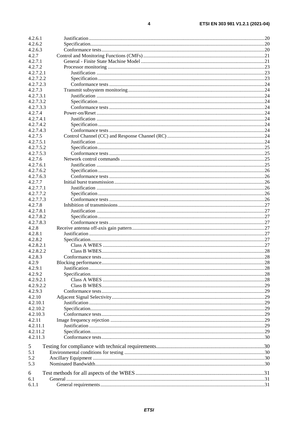| 4.2.6.1   |  |
|-----------|--|
| 4.2.6.2   |  |
| 4.2.6.3   |  |
| 4.2.7     |  |
| 4.2.7.1   |  |
| 4.2.7.2   |  |
| 4.2.7.2.1 |  |
| 4.2.7.2.2 |  |
| 4.2.7.2.3 |  |
| 4.2.7.3   |  |
| 4.2.7.3.1 |  |
| 4.2.7.3.2 |  |
| 4.2.7.3.3 |  |
| 4.2.7.4   |  |
| 4.2.7.4.1 |  |
| 4.2.7.4.2 |  |
| 4.2.7.4.3 |  |
| 4.2.7.5   |  |
| 4.2.7.5.1 |  |
| 4.2.7.5.2 |  |
| 4.2.7.5.3 |  |
| 4.2.7.6   |  |
| 4.2.7.6.1 |  |
| 4.2.7.6.2 |  |
| 4.2.7.6.3 |  |
| 4.2.7.7   |  |
| 4.2.7.7.1 |  |
| 4.2.7.7.2 |  |
| 4.2.7.7.3 |  |
| 4.2.7.8   |  |
| 4.2.7.8.1 |  |
| 4.2.7.8.2 |  |
| 4.2.7.8.3 |  |
| 4.2.8     |  |
| 4.2.8.1   |  |
| 4.2.8.2   |  |
| 4.2.8.2.1 |  |
| 4.2.8.2.2 |  |
| 4.2.8.3   |  |
| 4.2.9     |  |
| 4.2.9.1   |  |
| 4.2.9.2   |  |
| 4.2.9.2.1 |  |
| 4.2.9.2.2 |  |
| 4.2.9.3   |  |
| 4.2.10    |  |
| 4.2.10.1  |  |
| 4.2.10.2  |  |
| 4.2.10.3  |  |
| 4.2.11    |  |
| 4.2.11.1  |  |
| 4.2.11.2  |  |
| 4.2.11.3  |  |
|           |  |
| 5         |  |
| 5.1       |  |
| 5.2       |  |
| 5.3       |  |
| 6         |  |
| 6.1       |  |
| 6.1.1     |  |
|           |  |

 $\overline{\mathbf{4}}$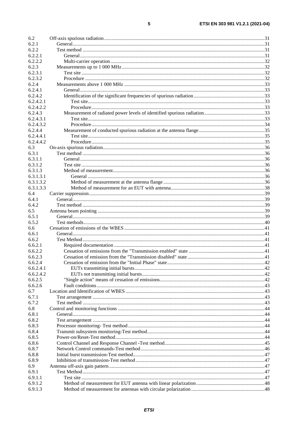| 6.2       |  |
|-----------|--|
| 6.2.1     |  |
| 6.2.2     |  |
| 6.2.2.1   |  |
| 6.2.2.2   |  |
| 6.2.3     |  |
| 6.2.3.1   |  |
| 6.2.3.2   |  |
| 6.2.4     |  |
| 6.2.4.1   |  |
| 6.2.4.2   |  |
| 6.2.4.2.1 |  |
| 6.2.4.2.2 |  |
| 6.2.4.3   |  |
| 6.2.4.3.1 |  |
| 6.2.4.3.2 |  |
| 6.2.4.4   |  |
| 6.2.4.4.1 |  |
| 6.2.4.4.2 |  |
| 6.3       |  |
| 6.3.1     |  |
| 6.3.1.1   |  |
| 6.3.1.2   |  |
| 6.3.1.3   |  |
| 6.3.1.3.1 |  |
| 6.3.1.3.2 |  |
| 6.3.1.3.3 |  |
|           |  |
| 6.4       |  |
| 6.4.1     |  |
| 6.4.2     |  |
| 6.5       |  |
| 6.5.1     |  |
| 6.5.2     |  |
| 6.6       |  |
| 6.6.1     |  |
| 6.6.2     |  |
| 6.6.2.1   |  |
| 6.6.2.2   |  |
| 6.6.2.3   |  |
| 6.6.2.4   |  |
| 6.6.2.4.1 |  |
| 6.6.2.4.2 |  |
| 6.6.2.5   |  |
| 6.6.2.6   |  |
| 6.7       |  |
| 6.7.1     |  |
| 6.7.2     |  |
| 6.8       |  |
| 6.8.1     |  |
| 6.8.2     |  |
| 6.8.3     |  |
| 6.8.4     |  |
| 6.8.5     |  |
| 6.8.6     |  |
| 6.8.7     |  |
| 6.8.8     |  |
| 6.8.9     |  |
|           |  |
| 6.9       |  |
| 6.9.1     |  |
| 6.9.1.1   |  |
| 6.9.1.2   |  |
| 6.9.1.3   |  |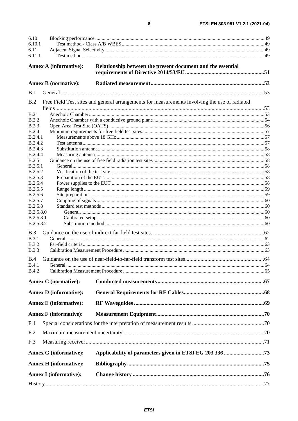| 6.10                      |                               |                                                                                               |  |
|---------------------------|-------------------------------|-----------------------------------------------------------------------------------------------|--|
| 6.10.1                    |                               |                                                                                               |  |
| 6.11<br>6.11.1            |                               |                                                                                               |  |
|                           |                               |                                                                                               |  |
|                           | <b>Annex A (informative):</b> | Relationship between the present document and the essential                                   |  |
|                           |                               |                                                                                               |  |
|                           | <b>Annex B</b> (normative):   |                                                                                               |  |
| B.1                       |                               |                                                                                               |  |
|                           |                               |                                                                                               |  |
| B.2                       |                               | Free Field Test sites and general arrangements for measurements involving the use of radiated |  |
| B.2.1                     |                               |                                                                                               |  |
| <b>B.2.2</b>              |                               |                                                                                               |  |
| <b>B.2.3</b>              |                               |                                                                                               |  |
| B.2.4                     |                               |                                                                                               |  |
| B.2.4.1                   |                               |                                                                                               |  |
| B.2.4.2                   |                               |                                                                                               |  |
| B.2.4.3<br>B.2.4.4        |                               |                                                                                               |  |
| B.2.5                     |                               |                                                                                               |  |
| B.2.5.1                   |                               |                                                                                               |  |
| B.2.5.2                   |                               |                                                                                               |  |
| <b>B.2.5.3</b>            |                               |                                                                                               |  |
| <b>B.2.5.4</b>            |                               |                                                                                               |  |
| B.2.5.5                   |                               |                                                                                               |  |
| B.2.5.6                   |                               |                                                                                               |  |
| B.2.5.7<br><b>B.2.5.8</b> |                               |                                                                                               |  |
| B.2.5.8.0                 |                               |                                                                                               |  |
| B.2.5.8.1                 |                               |                                                                                               |  |
| B.2.5.8.2                 |                               |                                                                                               |  |
| B.3                       |                               |                                                                                               |  |
| <b>B.3.1</b>              |                               |                                                                                               |  |
| <b>B.3.2</b>              |                               |                                                                                               |  |
| <b>B.3.3</b>              |                               |                                                                                               |  |
| <b>B.4</b>                |                               |                                                                                               |  |
| B.4.1                     |                               |                                                                                               |  |
| <b>B.4.2</b>              |                               |                                                                                               |  |
|                           | <b>Annex C</b> (normative):   |                                                                                               |  |
|                           | <b>Annex D</b> (informative): |                                                                                               |  |
|                           | <b>Annex E</b> (informative): |                                                                                               |  |
|                           | <b>Annex F</b> (informative): |                                                                                               |  |
| F.1                       |                               |                                                                                               |  |
| F <sub>.2</sub>           |                               |                                                                                               |  |
| F.3                       |                               |                                                                                               |  |
|                           | <b>Annex G (informative):</b> |                                                                                               |  |
|                           |                               |                                                                                               |  |
|                           | <b>Annex H</b> (informative): |                                                                                               |  |
|                           | <b>Annex I</b> (informative): |                                                                                               |  |
|                           |                               |                                                                                               |  |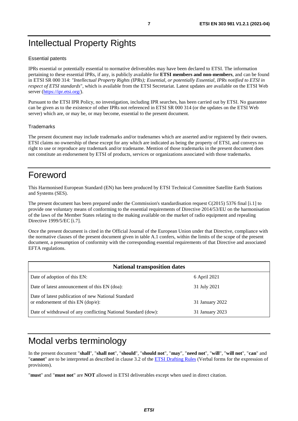## <span id="page-6-0"></span>Intellectual Property Rights

#### Essential patents

IPRs essential or potentially essential to normative deliverables may have been declared to ETSI. The information pertaining to these essential IPRs, if any, is publicly available for **ETSI members and non-members**, and can be found in ETSI SR 000 314: *"Intellectual Property Rights (IPRs); Essential, or potentially Essential, IPRs notified to ETSI in respect of ETSI standards"*, which is available from the ETSI Secretariat. Latest updates are available on the ETSI Web server (<https://ipr.etsi.org/>).

Pursuant to the ETSI IPR Policy, no investigation, including IPR searches, has been carried out by ETSI. No guarantee can be given as to the existence of other IPRs not referenced in ETSI SR 000 314 (or the updates on the ETSI Web server) which are, or may be, or may become, essential to the present document.

#### **Trademarks**

The present document may include trademarks and/or tradenames which are asserted and/or registered by their owners. ETSI claims no ownership of these except for any which are indicated as being the property of ETSI, and conveys no right to use or reproduce any trademark and/or tradename. Mention of those trademarks in the present document does not constitute an endorsement by ETSI of products, services or organizations associated with those trademarks.

## Foreword

This Harmonised European Standard (EN) has been produced by ETSI Technical Committee Satellite Earth Stations and Systems (SES).

The present document has been prepared under the Commission's standardisation request C(2015) 5376 final [\[i.1\]](#page-9-0) to provide one voluntary means of conforming to the essential requirements of Directive 2014/53/EU on the harmonisation of the laws of the Member States relating to the making available on the market of radio equipment and repealing Directive 1999/5/EC [\[i.7](#page-10-0)].

Once the present document is cited in the Official Journal of the European Union under that Directive, compliance with the normative clauses of the present document given in table A.1 confers, within the limits of the scope of the present document, a presumption of conformity with the corresponding essential requirements of that Directive and associated EFTA regulations.

| <b>National transposition dates</b>                                                         |                 |  |  |
|---------------------------------------------------------------------------------------------|-----------------|--|--|
| Date of adoption of this EN:                                                                | 6 April 2021    |  |  |
| Date of latest announcement of this EN (doa):                                               | 31 July 2021    |  |  |
| Date of latest publication of new National Standard<br>or endorsement of this $EN$ (dop/e): | 31 January 2022 |  |  |
| Date of withdrawal of any conflicting National Standard (dow):                              | 31 January 2023 |  |  |

## Modal verbs terminology

In the present document "**shall**", "**shall not**", "**should**", "**should not**", "**may**", "**need not**", "**will**", "**will not**", "**can**" and "**cannot**" are to be interpreted as described in clause 3.2 of the [ETSI Drafting Rules](https://portal.etsi.org/Services/editHelp!/Howtostart/ETSIDraftingRules.aspx) (Verbal forms for the expression of provisions).

"**must**" and "**must not**" are **NOT** allowed in ETSI deliverables except when used in direct citation.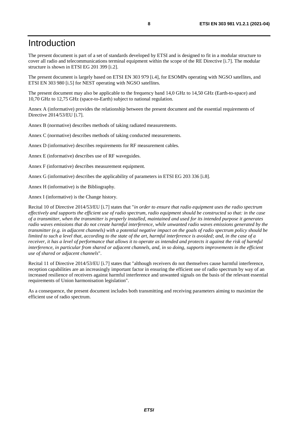## <span id="page-7-0"></span>Introduction

The present document is part of a set of standards developed by ETSI and is designed to fit in a modular structure to cover all radio and telecommunications terminal equipment within the scope of the RE Directive [\[i.7\]](#page-10-0). The modular structure is shown in ETSI EG 201 399 [[i.2](#page-9-0)].

The present document is largely based on ETSI EN 303 979 [\[i.4](#page-10-0)], for ESOMPs operating with NGSO satellites, and ETSI EN 303 980 [\[i.5\]](#page-10-0) for NEST operating with NGSO satellites.

The present document may also be applicable to the frequency band 14,0 GHz to 14,50 GHz (Earth-to-space) and 10,70 GHz to 12,75 GHz (space-to-Earth) subject to national regulation.

Annex A (informative) provides the relationship between the present document and the essential requirements of Directive 2014/53/EU [\[i.7](#page-10-0)].

Annex B (normative) describes methods of taking radiated measurements.

Annex C (normative) describes methods of taking conducted measurements.

Annex D (informative) describes requirements for RF measurement cables.

Annex E (informative) describes use of RF waveguides.

Annex F (informative) describes measurement equipment.

Annex G (informative) describes the applicability of parameters in ETSI EG 203 336 [\[i.8](#page-10-0)].

Annex H (informative) is the Bibliography.

Annex I (informative) is the Change history.

Recital 10 of Directive 2014/53/EU [\[i.7\]](#page-10-0) states that "*in order to ensure that radio equipment uses the radio spectrum effectively and supports the efficient use of radio spectrum, radio equipment should be constructed so that: in the case of a transmitter, when the transmitter is properly installed, maintained and used for its intended purpose it generates radio waves emissions that do not create harmful interference, while unwanted radio waves emissions generated by the transmitter (e.g. in adjacent channels) with a potential negative impact on the goals of radio spectrum policy should be limited to such a level that, according to the state of the art, harmful interference is avoided; and, in the case of a receiver, it has a level of performance that allows it to operate as intended and protects it against the risk of harmful interference, in particular from shared or adjacent channels, and, in so doing, supports improvements in the efficient use of shared or adjacent channels*".

Recital 11 of Directive 2014/53/EU [\[i.7\]](#page-10-0) states that "although receivers do not themselves cause harmful interference, reception capabilities are an increasingly important factor in ensuring the efficient use of radio spectrum by way of an increased resilience of receivers against harmful interference and unwanted signals on the basis of the relevant essential requirements of Union harmonisation legislation".

As a consequence, the present document includes both transmitting and receiving parameters aiming to maximize the efficient use of radio spectrum.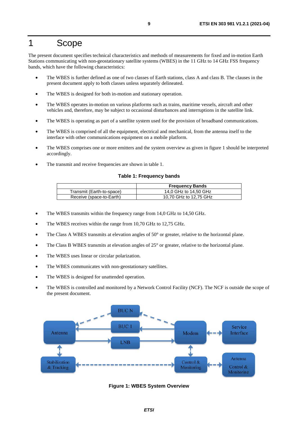## <span id="page-8-0"></span>1 Scope

The present document specifies technical characteristics and methods of measurements for fixed and in-motion Earth Stations communicating with non-geostationary satellite systems (WBES) in the 11 GHz to 14 GHz FSS frequency bands, which have the following characteristics:

- The WBES is further defined as one of two classes of Earth stations, class A and class B. The clauses in the present document apply to both classes unless separately delineated.
- The WBES is designed for both in-motion and stationary operation.
- The WBES operates in-motion on various platforms such as trains, maritime vessels, aircraft and other vehicles and, therefore, may be subject to occasional disturbances and interruptions in the satellite link.
- The WBES is operating as part of a satellite system used for the provision of broadband communications.
- The WBES is comprised of all the equipment, electrical and mechanical, from the antenna itself to the interface with other communications equipment on a mobile platform.
- The WBES comprises one or more emitters and the system overview as given in figure 1 should be interpreted accordingly.
- The transmit and receive frequencies are shown in table 1.

#### **Table 1: Frequency bands**

|                           | <b>Frequency Bands</b> |
|---------------------------|------------------------|
| Transmit (Earth-to-space) | 14,0 GHz to 14,50 GHz  |
| Receive (space-to-Earth)  | 10,70 GHz to 12,75 GHz |

- The WBES transmits within the frequency range from 14,0 GHz to 14,50 GHz.
- The WBES receives within the range from 10,70 GHz to 12,75 GHz.
- The Class A WBES transmits at elevation angles of 50° or greater, relative to the horizontal plane.
- The Class B WBES transmits at elevation angles of 25° or greater, relative to the horizontal plane.
- The WBES uses linear or circular polarization.
- The WBES communicates with non-geostationary satellites.
- The WBES is designed for unattended operation.
- The WBES is controlled and monitored by a Network Control Facility (NCF). The NCF is outside the scope of the present document.



**Figure 1: WBES System Overview**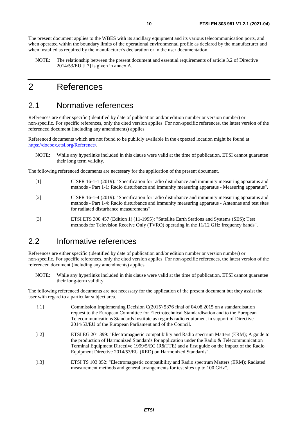<span id="page-9-0"></span>The present document applies to the WBES with its ancillary equipment and its various telecommunication ports, and when operated within the boundary limits of the operational environmental profile as declared by the manufacturer and when installed as required by the manufacturer's declaration or in the user documentation.

NOTE: The relationship between the present document and essential requirements of article 3.2 of Directive 2014/53/EU [\[i.7](#page-10-0)] is given in annex A.

## 2 References

## 2.1 Normative references

References are either specific (identified by date of publication and/or edition number or version number) or non-specific. For specific references, only the cited version applies. For non-specific references, the latest version of the referenced document (including any amendments) applies.

Referenced documents which are not found to be publicly available in the expected location might be found at <https://docbox.etsi.org/Reference/>.

NOTE: While any hyperlinks included in this clause were valid at the time of publication, ETSI cannot guarantee their long term validity.

The following referenced documents are necessary for the application of the present document.

- [1] CISPR 16-1-1 (2019): "Specification for radio disturbance and immunity measuring apparatus and methods - Part 1-1: Radio disturbance and immunity measuring apparatus - Measuring apparatus".
- [2] CISPR 16-1-4 (2019): "Specification for radio disturbance and immunity measuring apparatus and methods - Part 1-4: Radio disturbance and immunity measuring apparatus - Antennas and test sites for radiated disturbance measurements".
- [3] ETSI ETS 300 457 (Edition 1) (11-1995): "Satellite Earth Stations and Systems (SES); Test methods for Television Receive Only (TVRO) operating in the 11/12 GHz frequency bands".

## 2.2 Informative references

References are either specific (identified by date of publication and/or edition number or version number) or non-specific. For specific references, only the cited version applies. For non-specific references, the latest version of the referenced document (including any amendments) applies.

NOTE: While any hyperlinks included in this clause were valid at the time of publication, ETSI cannot guarantee their long-term validity.

The following referenced documents are not necessary for the application of the present document but they assist the user with regard to a particular subject area.

- [i.1] Commission Implementing Decision C(2015) 5376 final of 04.08.2015 on a standardisation request to the European Committee for Electrotechnical Standardisation and to the European Telecommunications Standards Institute as regards radio equipment in support of Directive 2014/53/EU of the European Parliament and of the Council. [i.2] ETSI EG 201 399: "Electromagnetic compatibility and Radio spectrum Matters (ERM); A guide to the production of Harmonized Standards for application under the Radio & Telecommunication
- Terminal Equipment Directive 1999/5/EC (R&TTE) and a first guide on the impact of the Radio Equipment Directive 2014/53/EU (RED) on Harmonized Standards".
- [i.3] ETSI TS 103 052: "Electromagnetic compatibility and Radio spectrum Matters (ERM); Radiated measurement methods and general arrangements for test sites up to 100 GHz".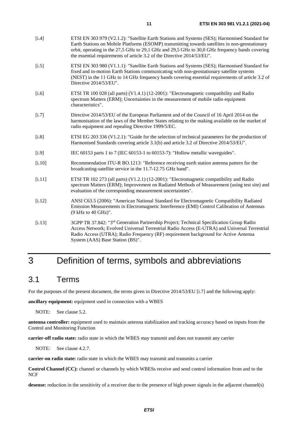<span id="page-10-0"></span>

| [i.4]    | ETSI EN 303 979 (V2.1.2): "Satellite Earth Stations and Systems (SES); Harmonised Standard for<br>Earth Stations on Mobile Platforms (ESOMP) transmitting towards satellites in non-geostationary<br>orbit, operating in the 27,5 GHz to 29,1 GHz and 29,5 GHz to 30,0 GHz frequency bands covering<br>the essential requirements of article 3.2 of the Directive 2014/53/EU". |
|----------|--------------------------------------------------------------------------------------------------------------------------------------------------------------------------------------------------------------------------------------------------------------------------------------------------------------------------------------------------------------------------------|
| $[i.5]$  | ETSI EN 303 980 (V1.1.1): "Satellite Earth Stations and Systems (SES); Harmonised Standard for<br>fixed and in-motion Earth Stations communicating with non-geostationary satellite systems<br>(NEST) in the 11 GHz to 14 GHz frequency bands covering essential requirements of article 3.2 of<br>Directive 2014/53/EU".                                                      |
| $[i.6]$  | ETSI TR 100 028 (all parts) (V1.4.1) (12-2001): "Electromagnetic compatibility and Radio<br>spectrum Matters (ERM); Uncertainties in the measurement of mobile radio equipment<br>characteristics".                                                                                                                                                                            |
| $[1.7]$  | Directive 2014/53/EU of the European Parliament and of the Council of 16 April 2014 on the<br>harmonisation of the laws of the Member States relating to the making available on the market of<br>radio equipment and repealing Directive 1999/5/EC.                                                                                                                           |
| $[1.8]$  | ETSI EG 203 336 (V1.2.1): "Guide for the selection of technical parameters for the production of<br>Harmonised Standards covering article 3.1(b) and article 3.2 of Directive 2014/53/EU".                                                                                                                                                                                     |
| [i.9]    | IEC 60153 parts 1 to 7 (IEC 60153-1 to 60153-7): "Hollow metallic waveguides".                                                                                                                                                                                                                                                                                                 |
| $[$ .10] | Recommendation ITU-R BO.1213: "Reference receiving earth station antenna pattern for the<br>broadcasting-satellite service in the 11.7-12.75 GHz band".                                                                                                                                                                                                                        |
| [i.11]   | ETSI TR 102 273 (all parts) (V1.2.1) (12-2001): "Electromagnetic compatibility and Radio<br>spectrum Matters (ERM); Improvement on Radiated Methods of Measurement (using test site) and<br>evaluation of the corresponding measurement uncertainties".                                                                                                                        |
| [1.12]   | ANSI C63.5 (2006): "American National Standard for Electromagnetic Compatibility Radiated<br>Emission Measurements in Electromagnetic Interference (EMI) Control Calibration of Antennas<br>(9 kHz to 40 GHz)".                                                                                                                                                                |
| [i.13]   | 3GPP TR 37.842: "3 <sup>rd</sup> Generation Partnership Project; Technical Specification Group Radio<br>Access Network; Evolved Universal Terrestrial Radio Access (E-UTRA) and Universal Terrestrial<br>Radio Access (UTRA); Radio Frequency (RF) requirement background for Active Antenna<br>System (AAS) Base Station (BS)".                                               |

## 3 Definition of terms, symbols and abbreviations

## 3.1 Terms

For the purposes of the present document, the terms given in Directive 2014/53/EU [i.7] and the following apply:

**ancillary equipment:** equipment used in connection with a WBES

NOTE: See clause 5.2.

**antenna controller:** equipment used to maintain antenna stabilization and tracking accuracy based on inputs from the Control and Monitoring Function

**carrier-off radio state:** radio state in which the WBES may transmit and does not transmit any carrier

NOTE: See clause 4.2.7.

**carrier-on radio state:** radio state in which the WBES may transmit and transmits a carrier

**Control Channel (CC):** channel or channels by which WBESs receive and send control information from and to the NCF

desense: reduction in the sensitivity of a receiver due to the presence of high power signals in the adjacent channel(s)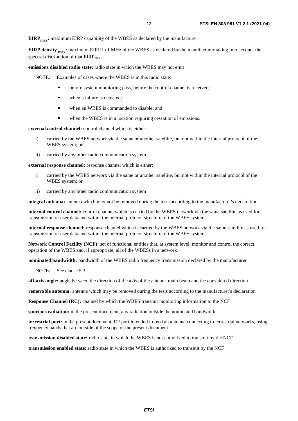**EIRP<sub>max</sub>:** maximum EIRP capability of the WBES as declared by the manufacturer

**EIRP density <sub>max</sub>:** maximum EIRP in 1 MHz of the WBES as declared by the manufacturer taking into account the spectral distribution of that EIRP<sub>max</sub>

**emissions disabled radio state:** radio state in which the WBES may not emit

NOTE: Examples of cases where the WBES is in this radio state:

- before system monitoring pass, before the control channel is received;<br>when a failure is detected:
- when a failure is detected;
- when an WBES is commanded to disable; and
- when the WBES is in a location requiring cessation of emissions.

**external control channel:** control channel which is either:

- i) carried by the WBES network via the same or another satellite, but not within the internal protocol of the WBES system; or
- ii) carried by any other radio communication system

**external response channel:** response channel which is either:

- i) carried by the WBES network via the same or another satellite, but not within the internal protocol of the WBES system; or
- ii) carried by any other radio communication system

**integral antenna:** antenna which may not be removed during the tests according to the manufacturer's declaration

**internal control channel:** control channel which is carried by the WBES network via the same satellite as used for transmission of user data and within the internal protocol structure of the WBES system

**internal response channel:** response channel which is carried by the WBES network via the same satellite as used for transmission of user data and within the internal protocol structure of the WBES system

**Network Control Facility (NCF):** set of functional entities that, at system level, monitor and control the correct operation of the WBES and, if appropriate, all of the WBESs in a network

**nominated bandwidth:** bandwidth of the WBES radio frequency transmission declared by the manufacturer

NOTE: See clause 5.3.

**off-axis angle:** angle between the direction of the axis of the antenna main beam and the considered direction

**removable antenna:** antenna which may be removed during the tests according to the manufacturer's declaration

**Response Channel (RC):** channel by which the WBES transmit monitoring information to the NCF

**spurious radiation:** in the present document, any radiation outside the nominated bandwidth

**terrestrial port:** in the present document, RF port intended to feed an antenna connecting to terrestrial networks, using frequency bands that are outside of the scope of the present document

**transmission disabled state:** radio state in which the WBES is not authorized to transmit by the NCF

**transmission enabled state:** radio state in which the WBES is authorized to transmit by the NCF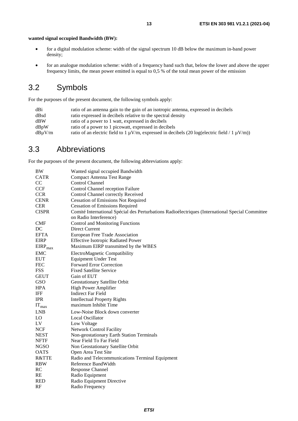- <span id="page-12-0"></span>• for a digital modulation scheme: width of the signal spectrum 10 dB below the maximum in-band power density;
- for an analogue modulation scheme: width of a frequency band such that, below the lower and above the upper frequency limits, the mean power emitted is equal to 0,5 % of the total mean power of the emission

## 3.2 Symbols

For the purposes of the present document, the following symbols apply:

| dBi    | ratio of an antenna gain to the gain of an isotropic antenna, expressed in decibels                     |
|--------|---------------------------------------------------------------------------------------------------------|
| dBsd   | ratio expressed in decibels relative to the spectral density                                            |
| dBW    | ratio of a power to 1 watt, expressed in decibels                                                       |
| dBpW   | ratio of a power to 1 picowatt, expressed in decibels                                                   |
| dBuV/m | ratio of an electric field to 1 $\mu$ V/m, expressed in decibels (20 log(electric field / 1 $\mu$ V/m)) |
|        |                                                                                                         |

## 3.3 Abbreviations

For the purposes of the present document, the following abbreviations apply:

| BW               | Wanted signal occupied Bandwidth                                                                                           |
|------------------|----------------------------------------------------------------------------------------------------------------------------|
| <b>CATR</b>      | <b>Compact Antenna Test Range</b>                                                                                          |
| CC               | <b>Control Channel</b>                                                                                                     |
| <b>CCF</b>       | Control Channel reception Failure                                                                                          |
| <b>CCR</b>       | Control Channel correctly Received                                                                                         |
| <b>CENR</b>      | <b>Cessation of Emissions Not Required</b>                                                                                 |
| <b>CER</b>       | <b>Cessation of Emissions Required</b>                                                                                     |
| <b>CISPR</b>     | Comité International Spécial des Perturbations Radioélectriques (International Special Committee<br>on Radio Interference) |
| <b>CMF</b>       | <b>Control and Monitoring Functions</b>                                                                                    |
| DC               | Direct Current                                                                                                             |
| <b>EFTA</b>      | European Free Trade Association                                                                                            |
| <b>EIRP</b>      | <b>Effective Isotropic Radiated Power</b>                                                                                  |
| $EIRP_{max}$     | Maximum EIRP transmitted by the WBES                                                                                       |
| <b>EMC</b>       | ElectroMagnetic Compatibility                                                                                              |
| <b>EUT</b>       | <b>Equipment Under Test</b>                                                                                                |
| <b>FEC</b>       | <b>Forward Error Correction</b>                                                                                            |
| <b>FSS</b>       | <b>Fixed Satellite Service</b>                                                                                             |
| <b>GEUT</b>      | Gain of EUT                                                                                                                |
| <b>GSO</b>       | Geostationary Satellite Orbit                                                                                              |
| <b>HPA</b>       | High Power Amplifier                                                                                                       |
| IFF              | <b>Indirect Far Field</b>                                                                                                  |
| <b>IPR</b>       | <b>Intellectual Property Rights</b>                                                                                        |
| $IT_{max}$       | maximum Inhibit Time                                                                                                       |
| <b>LNB</b>       | Low-Noise Block down converter                                                                                             |
| LO               | <b>Local Oscillator</b>                                                                                                    |
| LV               | Low Voltage                                                                                                                |
| <b>NCF</b>       | <b>Network Control Facility</b>                                                                                            |
| <b>NEST</b>      | Non-geostationary Earth Station Terminals                                                                                  |
| <b>NFTF</b>      | Near Field To Far Field                                                                                                    |
| <b>NGSO</b>      | Non Geostationary Satellite Orbit                                                                                          |
| <b>OATS</b>      | Open Area Test Site                                                                                                        |
| <b>R&amp;TTE</b> | Radio and Telecommunications Terminal Equipment                                                                            |
| <b>RBW</b>       | Reference BandWidth                                                                                                        |
| RC               | Response Channel                                                                                                           |
| RE               | Radio Equipment                                                                                                            |
| <b>RED</b>       | Radio Equipment Directive                                                                                                  |
| RF               | Radio Frequency                                                                                                            |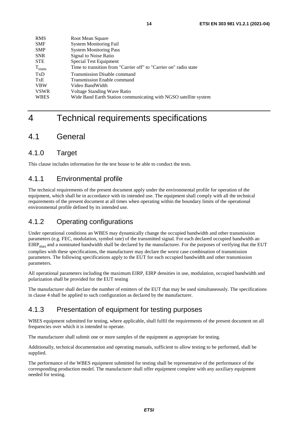<span id="page-13-0"></span>

| <b>RMS</b>  | Root Mean Square                                                  |
|-------------|-------------------------------------------------------------------|
| <b>SMF</b>  | <b>System Monitoring Fail</b>                                     |
| <b>SMP</b>  | <b>System Monitoring Pass</b>                                     |
| <b>SNR</b>  | Signal to Noise Ratio                                             |
| <b>STE</b>  | Special Test Equipment                                            |
| $T_{trans}$ | Time to transition from "Carrier off" to "Carrier on" radio state |
| TxD         | <b>Transmission Disable command</b>                               |
| TxE         | <b>Transmission Enable command</b>                                |
| <b>VBW</b>  | Video BandWidth                                                   |
| <b>VSWR</b> | Voltage Standing Wave Ratio                                       |
| <b>WBES</b> | Wide Band Earth Station communicating with NGSO satellite system  |

## 4 Technical requirements specifications

## 4.1 General

## 4.1.0 Target

This clause includes information for the test house to be able to conduct the tests.

## 4.1.1 Environmental profile

The technical requirements of the present document apply under the environmental profile for operation of the equipment, which shall be in accordance with its intended use. The equipment shall comply with all the technical requirements of the present document at all times when operating within the boundary limits of the operational environmental profile defined by its intended use.

## 4.1.2 Operating configurations

Under operational conditions an WBES may dynamically change the occupied bandwidth and other transmission parameters (e.g. FEC, modulation, symbol rate) of the transmitted signal. For each declared occupied bandwidth an EIRP<sub>max</sub> and a nominated bandwidth shall be declared by the manufacturer. For the purposes of verifying that the EUT complies with these specifications, the manufacturer may declare the worst case combination of transmission parameters. The following specifications apply to the EUT for each occupied bandwidth and other transmission parameters.

All operational parameters including the maximum EIRP, EIRP densities in use, modulation, occupied bandwidth and polarization shall be provided for the EUT testing

The manufacturer shall declare the number of emitters of the EUT that may be used simultaneously. The specifications in clause 4 shall be applied to such configuration as declared by the manufacturer.

## 4.1.3 Presentation of equipment for testing purposes

WBES equipment submitted for testing, where applicable, shall fulfil the requirements of the present document on all frequencies over which it is intended to operate.

The manufacturer shall submit one or more samples of the equipment as appropriate for testing.

Additionally, technical documentation and operating manuals, sufficient to allow testing to be performed, shall be supplied.

The performance of the WBES equipment submitted for testing shall be representative of the performance of the corresponding production model. The manufacturer shall offer equipment complete with any auxiliary equipment needed for testing.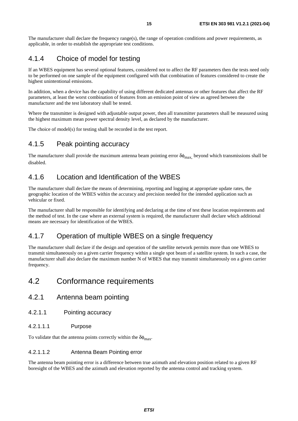<span id="page-14-0"></span>The manufacturer shall declare the frequency range(s), the range of operation conditions and power requirements, as applicable, in order to establish the appropriate test conditions.

## 4.1.4 Choice of model for testing

If an WBES equipment has several optional features, considered not to affect the RF parameters then the tests need only to be performed on one sample of the equipment configured with that combination of features considered to create the highest unintentional emissions.

In addition, when a device has the capability of using different dedicated antennas or other features that affect the RF parameters, at least the worst combination of features from an emission point of view as agreed between the manufacturer and the test laboratory shall be tested.

Where the transmitter is designed with adjustable output power, then all transmitter parameters shall be measured using the highest maximum mean power spectral density level, as declared by the manufacturer.

The choice of model(s) for testing shall be recorded in the test report.

## 4.1.5 Peak pointing accuracy

The manufacturer shall provide the maximum antenna beam pointing error  $\delta\phi_{\text{max}}$ , beyond which transmissions shall be disabled.

## 4.1.6 Location and Identification of the WBES

The manufacturer shall declare the means of determining, reporting and logging at appropriate update rates, the geographic location of the WBES within the accuracy and precision needed for the intended application such as vehicular or fixed.

The manufacturer shall be responsible for identifying and declaring at the time of test these location requirements and the method of test. In the case where an external system is required, the manufacturer shall declare which additional means are necessary for identification of the WBES.

## 4.1.7 Operation of multiple WBES on a single frequency

The manufacturer shall declare if the design and operation of the satellite network permits more than one WBES to transmit simultaneously on a given carrier frequency within a single spot beam of a satellite system. In such a case, the manufacturer shall also declare the maximum number N of WBES that may transmit simultaneously on a given carrier frequency.

## 4.2 Conformance requirements

- 4.2.1 Antenna beam pointing
- 4.2.1.1 Pointing accuracy
- 4.2.1.1.1 Purpose

To validate that the antenna points correctly within the  $\delta\phi_{\text{max}}$ .

4.2.1.1.2 Antenna Beam Pointing error

The antenna beam pointing error is a difference between true azimuth and elevation position related to a given RF boresight of the WBES and the azimuth and elevation reported by the antenna control and tracking system.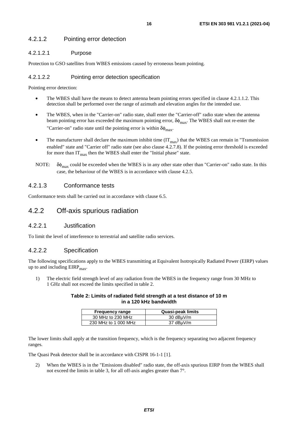### <span id="page-15-0"></span>4.2.1.2 Pointing error detection

#### 4.2.1.2.1 Purpose

Protection to GSO satellites from WBES emissions caused by erroneous beam pointing.

#### 4.2.1.2.2 Pointing error detection specification

Pointing error detection:

- The WBES shall have the means to detect antenna beam pointing errors specified in clause 4.2.1.1.2. This detection shall be performed over the range of azimuth and elevation angles for the intended use.
- The WBES, when in the "Carrier-on" radio state, shall enter the "Carrier-off" radio state when the antenna beam pointing error has exceeded the maximum pointing error,  $\delta\phi_{\text{max}}$ . The WBES shall not re-enter the "Carrier-on" radio state until the pointing error is within  $\delta\phi_{\text{max}}$ .
- The manufacturer shall declare the maximum inhibit time  $(IT_{max})$  that the WBES can remain in "Transmission" enabled" state and "Carrier off" radio state (see also clause 4.2.7.8). If the pointing error threshold is exceeded for more than  $IT<sub>max</sub>$  then the WBES shall enter the "Initial phase" state.
- NOTE:  $\delta \phi_{\text{max}}$  could be exceeded when the WBES is in any other state other than "Carrier-on" radio state. In this case, the behaviour of the WBES is in accordance with clause 4.2.5.

### 4.2.1.3 Conformance tests

Conformance tests shall be carried out in accordance with clause 6.5.

## 4.2.2 Off-axis spurious radiation

### 4.2.2.1 Justification

To limit the level of interference to terrestrial and satellite radio services.

### 4.2.2.2 Specification

The following specifications apply to the WBES transmitting at Equivalent Isotropically Radiated Power (EIRP) values up to and including  $EIRP<sub>max</sub>$ .

1) The electric field strength level of any radiation from the WBES in the frequency range from 30 MHz to 1 GHz shall not exceed the limits specified in table 2.

#### **Table 2: Limits of radiated field strength at a test distance of 10 m in a 120 kHz bandwidth**

| <b>Frequency range</b> | Quasi-peak limits |
|------------------------|-------------------|
| 30 MHz to 230 MHz      | 30 dBµV/m         |
| 230 MHz to 1 000 MHz   | 37 dBµV/m         |

The lower limits shall apply at the transition frequency, which is the frequency separating two adjacent frequency ranges.

The Quasi Peak detector shall be in accordance with CISPR 16-1-1 [\[1](#page-9-0)].

2) When the WBES is in the "Emissions disabled" radio state, the off-axis spurious EIRP from the WBES shall not exceed the limits in table 3, for all off-axis angles greater than 7°.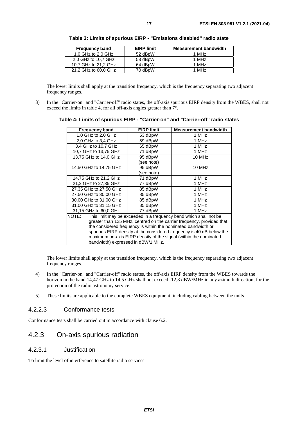| <b>Frequency band</b> | <b>EIRP limit</b> | <b>Measurement bandwidth</b> |
|-----------------------|-------------------|------------------------------|
| 1.0 GHz to 2.0 GHz    | 52 dBpW           | 1 MH <sub>z</sub>            |
| 2.0 GHz to 10.7 GHz   | 58 dBpW           | 1 MHz                        |
| 10.7 GHz to 21.2 GHz  | 64 dBpW           | 1 MH <sub>z</sub>            |
| 21,2 GHz to 60,0 GHz  | 70 dBpW           | 1 MHz                        |

<span id="page-16-0"></span>**Table 3: Limits of spurious EIRP - "Emissions disabled" radio state** 

The lower limits shall apply at the transition frequency, which is the frequency separating two adjacent frequency ranges.

3) In the "Carrier-on" and "Carrier-off" radio states, the off-axis spurious EIRP density from the WBES, shall not exceed the limits in table 4, for all off-axis angles greater than  $7^{\circ}$ .

| Table 4: Limits of spurious EIRP - "Carrier-on" and "Carrier-off" radio states |  |
|--------------------------------------------------------------------------------|--|
|--------------------------------------------------------------------------------|--|

| <b>Frequency band</b>                                                 | <b>EIRP limit</b> | <b>Measurement bandwidth</b>                                      |
|-----------------------------------------------------------------------|-------------------|-------------------------------------------------------------------|
| 1,0 GHz to 2,0 GHz                                                    | 53 dBpW           | 1 MHz                                                             |
| 2,0 GHz to 3,4 GHz                                                    | 59 dBpW           | 1 MHz                                                             |
| 3.4 GHz to 10.7 GHz                                                   | 65 dBpW           | 1 MHz                                                             |
| 10.7 GHz to 13.75 GHz                                                 | 71 dBpW           | 1 MHz                                                             |
| 13,75 GHz to 14,0 GHz                                                 | 95 dBpW           | 10 MHz                                                            |
|                                                                       | (see note)        |                                                                   |
| 14,50 GHz to 14,75 GHz                                                | 95 dBpW           | 10 MHz                                                            |
|                                                                       | (see note)        |                                                                   |
| 14,75 GHz to 21,2 GHz                                                 | 71 dBpW           | 1 MHz                                                             |
| 21,2 GHz to 27,35 GHz                                                 | 77 dBpW           | 1 MHz                                                             |
| 27,35 GHz to 27,50 GHz                                                | 85 dBpW           | 1 MHz                                                             |
| 27,50 GHz to 30,00 GHz                                                | 85 dBpW           | 1 MHz                                                             |
| 30,00 GHz to 31,00 GHz                                                | 85 dBpW           | 1 MHz                                                             |
| 31,00 GHz to 31,15 GHz                                                | 85 dBpW           | 1 MHz                                                             |
| 31,15 GHz to 60,0 GHz                                                 | 77 dBpW           | 1 MHz                                                             |
| NOTE:                                                                 |                   | This limit may be exceeded in a frequency band which shall not be |
| greater than 125 MHz, centred on the carrier frequency, provided that |                   |                                                                   |
| the considered frequency is within the nominated bandwidth or         |                   |                                                                   |
| spurious EIRP density at the considered frequency is 40 dB below the  |                   |                                                                   |
| maximum on-axis EIRP density of the signal (within the nominated      |                   |                                                                   |
| bandwidth) expressed in dBW/1 MHz.                                    |                   |                                                                   |

The lower limits shall apply at the transition frequency, which is the frequency separating two adjacent frequency ranges.

- 4) In the "Carrier-on" and "Carrier-off" radio states, the off-axis EIRP density from the WBES towards the horizon in the band 14,47 GHz to 14,5 GHz shall not exceed -12,8 dBW/MHz in any azimuth direction, for the protection of the radio astronomy service.
- 5) These limits are applicable to the complete WBES equipment, including cabling between the units.

### 4.2.2.3 Conformance tests

Conformance tests shall be carried out in accordance with clause 6.2.

## 4.2.3 On-axis spurious radiation

#### 4.2.3.1 Justification

To limit the level of interference to satellite radio services.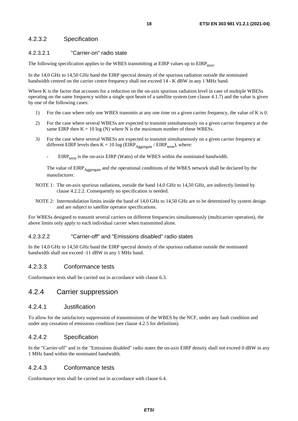### <span id="page-17-0"></span>4.2.3.2 Specification

#### 4.2.3.2.1 "Carrier-on" radio state

The following specification applies to the WBES transmitting at EIRP values up to  $EIRP<sub>max</sub>$ .

In the 14,0 GHz to 14,50 GHz band the EIRP spectral density of the spurious radiation outside the nominated bandwidth centred on the carrier centre frequency shall not exceed 14 - K dBW in any 1 MHz band.

Where K is the factor that accounts for a reduction on the on-axis spurious radiation level in case of multiple WBESs operating on the same frequency within a single spot beam of a satellite system (see clause 4.1.7) and the value is given by one of the following cases:

- 1) For the case where only one WBES transmits at any one time on a given carrier frequency, the value of K is 0.
- 2) For the case where several WBESs are expected to transmit simultaneously on a given carrier frequency at the same EIRP then  $K = 10 \log(N)$  where N is the maximum number of these WBESs.
- 3) For the case where several WBESs are expected to transmit simultaneously on a given carrier frequency at different EIRP levels then  $K = 10 \log (EIRP_{Aegregate} / EIRP_{term})$ , where:
	- $EIRP_{term}$  is the on-axis  $EIRP$  (Watts) of the WBES within the nominated bandwidth.

The value of EIRP<sub>Aggregate</sub> and the operational conditions of the WBES network shall be declared by the manufacturer.

- NOTE 1: The on-axis spurious radiations, outside the band 14.0 GHz to 14.50 GHz, are indirectly limited by clause 4.2.2.2. Consequently no specification is needed.
- NOTE 2: Intermodulation limits inside the band of 14,0 GHz to 14,50 GHz are to be determined by system design and are subject to satellite operator specifications.

For WBESs designed to transmit several carriers on different frequencies simultaneously (multicarrier operation), the above limits only apply to each individual carrier when transmitted alone.

#### 4.2.3.2.2 "Carrier-off" and "Emissions disabled" radio states

In the 14,0 GHz to 14,50 GHz band the EIRP spectral density of the spurious radiation outside the nominated bandwidth shall not exceed -11 dBW in any 1 MHz band.

#### 4.2.3.3 Conformance tests

Conformance tests shall be carried out in accordance with clause 6.3.

## 4.2.4 Carrier suppression

#### 4.2.4.1 Justification

To allow for the satisfactory suppression of transmissions of the WBES by the NCF, under any fault condition and under any cessation of emissions condition (see clause 4.2.5 for definition).

#### 4.2.4.2 Specification

In the "Carrier-off" and in the "Emissions disabled" radio states the on-axis EIRP density shall not exceed 0 dBW in any 1 MHz band within the nominated bandwidth.

#### 4.2.4.3 Conformance tests

Conformance tests shall be carried out in accordance with clause 6.4.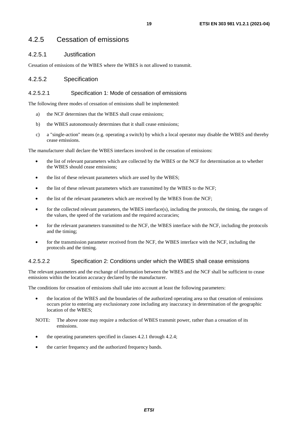## <span id="page-18-0"></span>4.2.5 Cessation of emissions

### 4.2.5.1 Justification

Cessation of emissions of the WBES where the WBES is not allowed to transmit.

### 4.2.5.2 Specification

#### 4.2.5.2.1 Specification 1: Mode of cessation of emissions

The following three modes of cessation of emissions shall be implemented:

- a) the NCF determines that the WBES shall cease emissions;
- b) the WBES autonomously determines that it shall cease emissions;
- c) a "single-action" means (e.g. operating a switch) by which a local operator may disable the WBES and thereby cease emissions.

The manufacturer shall declare the WBES interfaces involved in the cessation of emissions:

- the list of relevant parameters which are collected by the WBES or the NCF for determination as to whether the WBES should cease emissions;
- the list of these relevant parameters which are used by the WBES;
- the list of these relevant parameters which are transmitted by the WBES to the NCF;
- the list of the relevant parameters which are received by the WBES from the NCF;
- for the collected relevant parameters, the WBES interface(s), including the protocols, the timing, the ranges of the values, the speed of the variations and the required accuracies;
- for the relevant parameters transmitted to the NCF, the WBES interface with the NCF, including the protocols and the timing;
- for the transmission parameter received from the NCF, the WBES interface with the NCF, including the protocols and the timing.

#### 4.2.5.2.2 Specification 2: Conditions under which the WBES shall cease emissions

The relevant parameters and the exchange of information between the WBES and the NCF shall be sufficient to cease emissions within the location accuracy declared by the manufacturer.

The conditions for cessation of emissions shall take into account at least the following parameters:

- the location of the WBES and the boundaries of the authorized operating area so that cessation of emissions occurs prior to entering any exclusionary zone including any inaccuracy in determination of the geographic location of the WBES;
- NOTE: The above zone may require a reduction of WBES transmit power, rather than a cessation of its emissions.
- the operating parameters specified in clauses 4.2.1 through 4.2.4;
- the carrier frequency and the authorized frequency bands.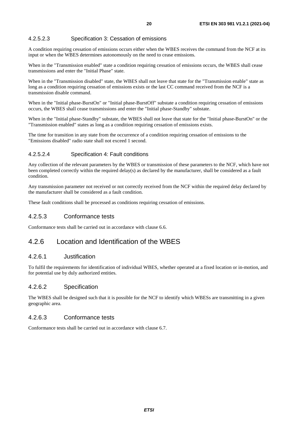### <span id="page-19-0"></span>4.2.5.2.3 Specification 3: Cessation of emissions

A condition requiring cessation of emissions occurs either when the WBES receives the command from the NCF at its input or when the WBES determines autonomously on the need to cease emissions.

When in the "Transmission enabled" state a condition requiring cessation of emissions occurs, the WBES shall cease transmissions and enter the "Initial Phase" state.

When in the "Transmission disabled" state, the WBES shall not leave that state for the "Transmission enable" state as long as a condition requiring cessation of emissions exists or the last CC command received from the NCF is a transmission disable command.

When in the "Initial phase-BurstOn" or "Initial phase-BurstOff" substate a condition requiring cessation of emissions occurs, the WBES shall cease transmissions and enter the "Initial phase-Standby" substate.

When in the "Initial phase-Standby" substate, the WBES shall not leave that state for the "Initial phase-BurstOn" or the "Transmission enabled" states as long as a condition requiring cessation of emissions exists.

The time for transition in any state from the occurrence of a condition requiring cessation of emissions to the "Emissions disabled" radio state shall not exceed 1 second.

#### 4.2.5.2.4 Specification 4: Fault conditions

Any collection of the relevant parameters by the WBES or transmission of these parameters to the NCF, which have not been completed correctly within the required delay(s) as declared by the manufacturer, shall be considered as a fault condition.

Any transmission parameter not received or not correctly received from the NCF within the required delay declared by the manufacturer shall be considered as a fault condition.

These fault conditions shall be processed as conditions requiring cessation of emissions.

### 4.2.5.3 Conformance tests

Conformance tests shall be carried out in accordance with clause 6.6.

## 4.2.6 Location and Identification of the WBES

#### 4.2.6.1 Justification

To fulfil the requirements for identification of individual WBES, whether operated at a fixed location or in-motion, and for potential use by duly authorized entities.

#### 4.2.6.2 Specification

The WBES shall be designed such that it is possible for the NCF to identify which WBESs are transmitting in a given geographic area.

#### 4.2.6.3 Conformance tests

Conformance tests shall be carried out in accordance with clause 6.7.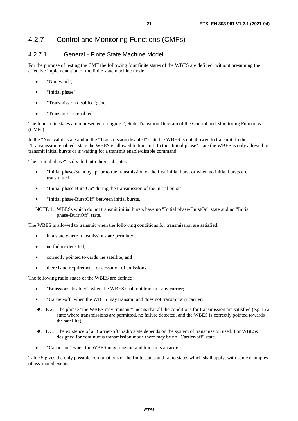## <span id="page-20-0"></span>4.2.7 Control and Monitoring Functions (CMFs)

### 4.2.7.1 General - Finite State Machine Model

For the purpose of testing the CMF the following four finite states of the WBES are defined, without presuming the effective implementation of the finite state machine model:

- "Non valid":
- "Initial phase";
- "Transmission disabled"; and
- "Transmission enabled".

The four finite states are represented on figure 2, State Transition Diagram of the Control and Monitoring Functions (CMFs).

In the "Non-valid" state and in the "Transmission disabled" state the WBES is not allowed to transmit. In the "Transmission-enabled" state the WBES is allowed to transmit. In the "Initial phase" state the WBES is only allowed to transmit initial bursts or is waiting for a transmit enable/disable command.

The "Initial phase" is divided into three substates:

- "Initial phase-Standby" prior to the transmission of the first initial burst or when no initial bursts are transmitted.
- "Initial phase-BurstOn" during the transmission of the initial bursts.
- "Initial phase-BurstOff" between initial bursts.

NOTE 1: WBESs which do not transmit initial bursts have no "Initial phase-BurstOn" state and no "Initial phase-BurstOff" state.

The WBES is allowed to transmit when the following conditions for transmission are satisfied:

- in a state where transmissions are permitted;
- no failure detected;
- correctly pointed towards the satellite: and
- there is no requirement for cessation of emissions.

The following radio states of the WBES are defined:

- "Emissions disabled" when the WBES shall not transmit any carrier;
- "Carrier-off" when the WBES may transmit and does not transmit any carrier;
- NOTE 2: The phrase "the WBES may transmit" means that all the conditions for transmission are satisfied (e.g. in a state where transmissions are permitted, no failure detected, and the WBES is correctly pointed towards the satellite).
- NOTE 3: The existence of a "Carrier-off" radio state depends on the system of transmission used. For WBESs designed for continuous transmission mode there may be no "Carrier-off" state.
- "Carrier-on" when the WBES may transmit and transmits a carrier.

Table 5 gives the only possible combinations of the finite states and radio states which shall apply, with some examples of associated events.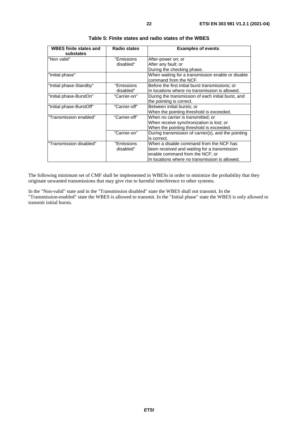| <b>WBES</b> finite states and<br>substates | <b>Radio states</b>     | <b>Examples of events</b>                                                                                                                                                    |
|--------------------------------------------|-------------------------|------------------------------------------------------------------------------------------------------------------------------------------------------------------------------|
| "Non valid"                                | "Emissions<br>disabled" | After-power on; or<br>After any fault; or<br>During the checking phase.                                                                                                      |
| "Initial phase"                            |                         | When waiting for a transmission enable or disable<br>command from the NCF.                                                                                                   |
| "Initial phase-Standby"                    | "Emissions<br>disabled" | Before the first initial burst transmissions; or<br>In locations where no transmission is allowed.                                                                           |
| "Initial phase-BurstOn"                    | "Carrier-on"            | During the transmission of each initial burst, and<br>the pointing is correct.                                                                                               |
| "Initial phase-BurstOff"                   | "Carrier-off"           | Between initial bursts; or<br>When the pointing threshold is exceeded.                                                                                                       |
| "Transmission enabled"                     | "Carrier-off"           | When no carrier is transmitted; or<br>When receive synchronization is lost; or<br>When the pointing threshold is exceeded.                                                   |
|                                            | "Carrier-on"            | During transmission of carrier(s), and the pointing<br>is correct.                                                                                                           |
| "Transmission disabled"                    | "Emissions<br>disabled" | When a disable command from the NCF has<br>been received and waiting for a transmission<br>enable command from the NCF; or<br>In locations where no transmission is allowed. |

| Table 5: Finite states and radio states of the WBES |  |  |
|-----------------------------------------------------|--|--|
|-----------------------------------------------------|--|--|

The following minimum set of CMF shall be implemented in WBESs in order to minimize the probability that they originate unwanted transmissions that may give rise to harmful interference to other systems.

In the "Non-valid" state and in the "Transmission disabled" state the WBES shall not transmit. In the "Transmission-enabled" state the WBES is allowed to transmit. In the "Initial phase" state the WBES is only allowed to transmit initial bursts.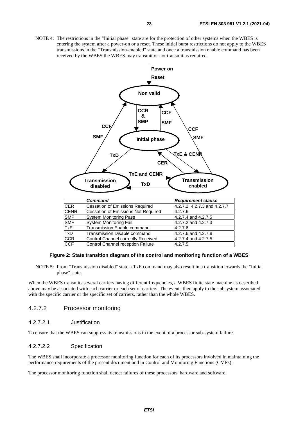<span id="page-22-0"></span>NOTE 4: The restrictions in the "Initial phase" state are for the protection of other systems when the WBES is entering the system after a power-on or a reset. These initial burst restrictions do not apply to the WBES transmissions in the "Transmission-enabled" state and once a transmission enable command has been received by the WBES the WBES may transmit or not transmit as required.



#### **Figure 2: State transition diagram of the control and monitoring function of a WBES**

NOTE 5: From "Transmission disabled" state a TxE command may also result in a transition towards the "Initial phase" state.

When the WBES transmits several carriers having different frequencies, a WBES finite state machine as described above may be associated with each carrier or each set of carriers. The events then apply to the subsystem associated with the specific carrier or the specific set of carriers, rather than the whole WBES.

#### 4.2.7.2 Processor monitoring

#### 4.2.7.2.1 Justification

To ensure that the WBES can suppress its transmissions in the event of a processor sub-system failure.

#### 4.2.7.2.2 Specification

The WBES shall incorporate a processor monitoring function for each of its processors involved in maintaining the performance requirements of the present document and in Control and Monitoring Functions (CMFs).

The processor monitoring function shall detect failures of these processors' hardware and software.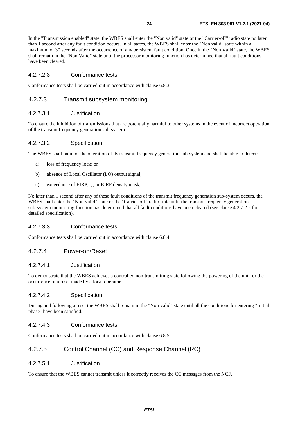<span id="page-23-0"></span>In the "Transmission enabled" state, the WBES shall enter the "Non valid" state or the "Carrier-off" radio state no later than 1 second after any fault condition occurs. In all states, the WBES shall enter the "Non valid" state within a maximum of 30 seconds after the occurrence of any persistent fault condition. Once in the "Non Valid" state, the WBES shall remain in the "Non Valid" state until the processor monitoring function has determined that all fault conditions have been cleared.

#### 4.2.7.2.3 Conformance tests

Conformance tests shall be carried out in accordance with clause 6.8.3.

#### 4.2.7.3 Transmit subsystem monitoring

#### 4.2.7.3.1 Justification

To ensure the inhibition of transmissions that are potentially harmful to other systems in the event of incorrect operation of the transmit frequency generation sub-system.

#### 4.2.7.3.2 Specification

The WBES shall monitor the operation of its transmit frequency generation sub-system and shall be able to detect:

- a) loss of frequency lock; or
- b) absence of Local Oscillator (LO) output signal;
- c) exceedance of  $EIRP<sub>max</sub>$  or  $EIRP$  density mask;

No later than 1 second after any of these fault conditions of the transmit frequency generation sub-system occurs, the WBES shall enter the "Non-valid" state or the "Carrier-off" radio state until the transmit frequency generation sub-system monitoring function has determined that all fault conditions have been cleared (see clause 4.2.7.2.2 for detailed specification).

#### 4.2.7.3.3 Conformance tests

Conformance tests shall be carried out in accordance with clause 6.8.4.

#### 4.2.7.4 Power-on/Reset

#### 4.2.7.4.1 Justification

To demonstrate that the WBES achieves a controlled non-transmitting state following the powering of the unit, or the occurrence of a reset made by a local operator.

#### 4.2.7.4.2 Specification

During and following a reset the WBES shall remain in the "Non-valid" state until all the conditions for entering "Initial phase" have been satisfied.

#### 4.2.7.4.3 Conformance tests

Conformance tests shall be carried out in accordance with clause 6.8.5.

### 4.2.7.5 Control Channel (CC) and Response Channel (RC)

#### 4.2.7.5.1 Justification

To ensure that the WBES cannot transmit unless it correctly receives the CC messages from the NCF.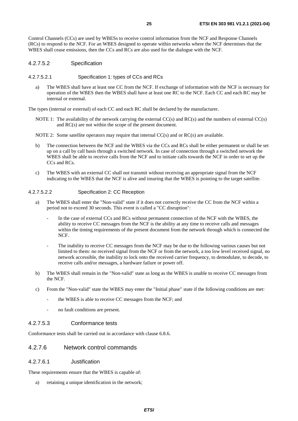<span id="page-24-0"></span>Control Channels (CCs) are used by WBESs to receive control information from the NCF and Response Channels (RCs) to respond to the NCF. For an WBES designed to operate within networks where the NCF determines that the WBES shall cease emissions, then the CCs and RCs are also used for the dialogue with the NCF.

#### 4.2.7.5.2 Specification

#### 4.2.7.5.2.1 Specification 1: types of CCs and RCs

a) The WBES shall have at least one CC from the NCF. If exchange of information with the NCF is necessary for operation of the WBES then the WBES shall have at least one RC to the NCF. Each CC and each RC may be internal or external.

The types (internal or external) of each CC and each RC shall be declared by the manufacturer.

NOTE 1: The availability of the network carrying the external  $CC(s)$  and  $RC(s)$  and the numbers of external  $CC(s)$ and RC(s) are not within the scope of the present document.

NOTE 2: Some satellite operators may require that internal CC(s) and or RC(s) are available.

- b) The connection between the NCF and the WBES via the CCs and RCs shall be either permanent or shall be set up on a call by call basis through a switched network. In case of connection through a switched network the WBES shall be able to receive calls from the NCF and to initiate calls towards the NCF in order to set up the CCs and RCs.
- c) The WBES with an external CC shall not transmit without receiving an appropriate signal from the NCF indicating to the WBES that the NCF is alive and insuring that the WBES is pointing to the target satellite.

#### 4.2.7.5.2.2 Specification 2: CC Reception

- a) The WBES shall enter the "Non-valid" state if it does not correctly receive the CC from the NCF within a period not to exceed 30 seconds. This event is called a "CC disruption":
	- In the case of external CCs and RCs without permanent connection of the NCF with the WBES, the ability to receive CC messages from the NCF is the ability at any time to receive calls and messages within the timing requirements of the present document from the network through which is connected the NCF.
	- The inability to receive CC messages from the NCF may be due to the following various causes but not limited to them: no received signal from the NCF or from the network, a too low level received signal, no network accessible, the inability to lock onto the received carrier frequency, to demodulate, to decode, to receive calls and/or messages, a hardware failure or power off.
- b) The WBES shall remain in the "Non-valid" state as long as the WBES is unable to receive CC messages from the NCF.
- c) From the "Non-valid" state the WBES may enter the "Initial phase" state if the following conditions are met:
	- the WBES is able to receive CC messages from the NCF; and
	- no fault conditions are present.

#### 4.2.7.5.3 Conformance tests

Conformance tests shall be carried out in accordance with clause 6.8.6.

#### 4.2.7.6 Network control commands

#### 4.2.7.6.1 Justification

These requirements ensure that the WBES is capable of:

a) retaining a unique identification in the network;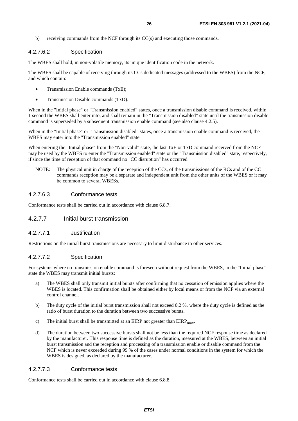<span id="page-25-0"></span>b) receiving commands from the NCF through its CC(s) and executing those commands.

#### 4.2.7.6.2 Specification

The WBES shall hold, in non-volatile memory, its unique identification code in the network.

The WBES shall be capable of receiving through its CCs dedicated messages (addressed to the WBES) from the NCF, and which contain:

- Transmission Enable commands (TxE);
- Transmission Disable commands (TxD).

When in the "Initial phase" or "Transmission enabled" states, once a transmission disable command is received, within 1 second the WBES shall enter into, and shall remain in the "Transmission disabled" state until the transmission disable command is superseded by a subsequent transmission enable command (see also clause 4.2.5).

When in the "Initial phase" or "Transmission disabled" states, once a transmission enable command is received, the WBES may enter into the "Transmission enabled" state.

When entering the "Initial phase" from the "Non-valid" state, the last TxE or TxD command received from the NCF may be used by the WBES to enter the "Transmission enabled" state or the "Transmission disabled" state, respectively, if since the time of reception of that command no "CC disruption" has occurred.

NOTE: The physical unit in charge of the reception of the CCs, of the transmissions of the RCs and of the CC commands reception may be a separate and independent unit from the other units of the WBES or it may be common to several WBESs.

#### 4.2.7.6.3 Conformance tests

Conformance tests shall be carried out in accordance with clause 6.8.7.

### 4.2.7.7 Initial burst transmission

#### 4.2.7.7.1 Justification

Restrictions on the initial burst transmissions are necessary to limit disturbance to other services.

#### 4.2.7.7.2 Specification

For systems where no transmission enable command is foreseen without request from the WBES, in the "Initial phase" state the WBES may transmit initial bursts:

- a) The WBES shall only transmit initial bursts after confirming that no cessation of emission applies where the WBES is located. This confirmation shall be obtained either by local means or from the NCF via an external control channel.
- b) The duty cycle of the initial burst transmission shall not exceed 0,2 %, where the duty cycle is defined as the ratio of burst duration to the duration between two successive bursts.
- c) The initial burst shall be transmitted at an EIRP not greater than  $EIRP<sub>max</sub>$ .
- d) The duration between two successive bursts shall not be less than the required NCF response time as declared by the manufacturer. This response time is defined as the duration, measured at the WBES, between an initial burst transmission and the reception and processing of a transmission enable or disable command from the NCF which is never exceeded during 99 % of the cases under normal conditions in the system for which the WBES is designed, as declared by the manufacturer.

#### 4.2.7.7.3 Conformance tests

Conformance tests shall be carried out in accordance with clause 6.8.8.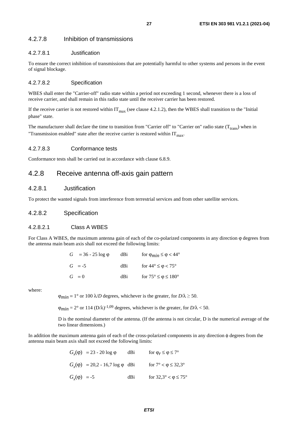#### <span id="page-26-0"></span>4.2.7.8 Inhibition of transmissions

#### 4.2.7.8.1 Justification

To ensure the correct inhibition of transmissions that are potentially harmful to other systems and persons in the event of signal blockage.

#### 4.2.7.8.2 Specification

WBES shall enter the "Carrier-off" radio state within a period not exceeding 1 second, whenever there is a loss of receive carrier, and shall remain in this radio state until the receiver carrier has been restored.

If the receive carrier is not restored within  $IT_{max}$  (see clause 4.2.1.2), then the WBES shall transition to the "Initial phase" state.

The manufacturer shall declare the time to transition from "Carrier off" to "Carrier on" radio state  $(T_{tran}$ ) when in "Transmission enabled" state after the receive carrier is restored within  $IT<sub>max</sub>$ .

#### 4.2.7.8.3 Conformance tests

Conformance tests shall be carried out in accordance with clause 6.8.9.

## 4.2.8 Receive antenna off-axis gain pattern

#### 4.2.8.1 Justification

To protect the wanted signals from interference from terrestrial services and from other satellite services.

#### 4.2.8.2 Specification

#### 4.2.8.2.1 Class A WBES

For Class A WBES, the maximum antenna gain of each of the co-polarized components in any direction ϕ degrees from the antenna main beam axis shall not exceed the following limits:

|         | $G = 36 - 25 \log \phi$ | dBi  | for $\varphi_{min} \leq \varphi < 44^{\circ}$ |
|---------|-------------------------|------|-----------------------------------------------|
|         | $G = -5$                | dBi. | for $44^{\circ} \le \phi < 75^{\circ}$        |
| $G = 0$ |                         | dBi  | for $75^{\circ} \le \varphi \le 180^{\circ}$  |

where:

 $\varphi_{min} = 1^{\circ}$  or 100  $\lambda/D$  degrees, whichever is the greater, for  $D/\lambda \ge 50$ .

 $\varphi_{min} = 2^{\circ}$  or 114 (D/ $\lambda$ )<sup>-1,09</sup> degrees, whichever is the greater, for D/ $\lambda$  < 50.

 D is the nominal diameter of the antenna. (If the antenna is not circular, D is the numerical average of the two linear dimensions.)

In addition the maximum antenna gain of each of the cross-polarized components in any direction φ degrees from the antenna main beam axis shall not exceed the following limits:

|                  | $G_r(\phi) = 23 - 20 \log \phi$         | dBi | for $\varphi_r \leq \varphi \leq 7^\circ$   |
|------------------|-----------------------------------------|-----|---------------------------------------------|
|                  | $G_r(\phi) = 20.2 - 16.7 \log \phi$ dBi |     | for $7^{\circ} < \varphi \leq 32.3^{\circ}$ |
| $G_r(\phi) = -5$ |                                         | dBi | for $32.3^{\circ} < \varphi \le 75^{\circ}$ |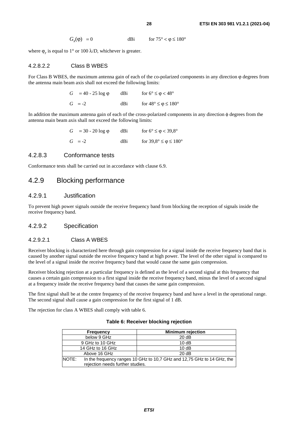$G_r(\phi) = 0$  dBi for  $75^\circ < \phi \le 180^\circ$ 

<span id="page-27-0"></span>where  $\varphi_r$  is equal to 1° or 100  $\lambda/D$ , whichever is greater.

#### 4.2.8.2.2 Class B WBES

For Class B WBES, the maximum antenna gain of each of the co-polarized components in any direction ϕ degrees from the antenna main beam axis shall not exceed the following limits:

| $G = 40 - 25 \log \varphi$ | dBi | for $6^{\circ} \le \varphi < 48^{\circ}$     |
|----------------------------|-----|----------------------------------------------|
| $G = -2$                   | dBi | for $48^{\circ} \le \varphi \le 180^{\circ}$ |

In addition the maximum antenna gain of each of the cross-polarized components in any direction φ degrees from the antenna main beam axis shall not exceed the following limits:

| $G = 30 - 20 \log \phi$ | dBi | for $6^{\circ} \le \varphi < 39.8^{\circ}$     |
|-------------------------|-----|------------------------------------------------|
| $G = -2$                | dBi | for $39.8^{\circ} \le \varphi \le 180^{\circ}$ |

#### 4.2.8.3 Conformance tests

Conformance tests shall be carried out in accordance with clause 6.9.

### 4.2.9 Blocking performance

#### 4.2.9.1 Justification

To prevent high power signals outside the receive frequency band from blocking the reception of signals inside the receive frequency band.

#### 4.2.9.2 Specification

#### 4.2.9.2.1 Class A WBES

Receiver blocking is characterized here through gain compression for a signal inside the receive frequency band that is caused by another signal outside the receive frequency band at high power. The level of the other signal is compared to the level of a signal inside the receive frequency band that would cause the same gain compression.

Receiver blocking rejection at a particular frequency is defined as the level of a second signal at this frequency that causes a certain gain compression to a first signal inside the receive frequency band, minus the level of a second signal at a frequency inside the receive frequency band that causes the same gain compression.

The first signal shall be at the centre frequency of the receive frequency band and have a level in the operational range. The second signal shall cause a gain compression for the first signal of 1 dB.

The rejection for class A WBES shall comply with table 6.

| <b>Frequency</b>                                                                                                             | <b>Minimum rejection</b> |
|------------------------------------------------------------------------------------------------------------------------------|--------------------------|
| below 9 GHz                                                                                                                  | 20dB                     |
| 9 GHz to 10 GHz                                                                                                              | 10dB                     |
| 14 GHz to 16 GHz                                                                                                             | 10dB                     |
| Above 16 GHz                                                                                                                 | 20dB                     |
| <b>INOTE:</b><br>In the frequency ranges 10 GHz to 10,7 GHz and 12,75 GHz to 14 GHz, the<br>rejection needs further studies. |                          |

#### **Table 6: Receiver blocking rejection**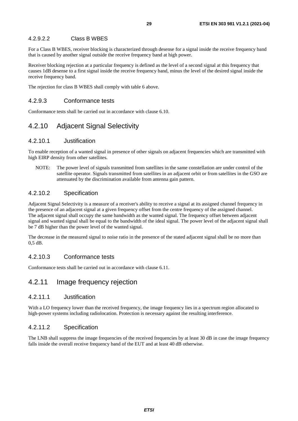#### <span id="page-28-0"></span>4.2.9.2.2 Class B WBES

For a Class B WBES, receiver blocking is characterized through desense for a signal inside the receive frequency band that is caused by another signal outside the receive frequency band at high power.

Receiver blocking rejection at a particular frequency is defined as the level of a second signal at this frequency that causes 1dB desense to a first signal inside the receive frequency band, minus the level of the desired signal inside the receive frequency band.

The rejection for class B WBES shall comply with table 6 above.

#### 4.2.9.3 Conformance tests

Conformance tests shall be carried out in accordance with clause 6.10.

## 4.2.10 Adjacent Signal Selectivity

#### 4.2.10.1 Justification

To enable reception of a wanted signal in presence of other signals on adjacent frequencies which are transmitted with high EIRP density from other satellites.

NOTE: The power level of signals transmitted from satellites in the same constellation are under control of the satellite operator. Signals transmitted from satellites in an adjacent orbit or from satellites in the GSO are attenuated by the discrimination available from antenna gain pattern.

#### 4.2.10.2 Specification

Adjacent Signal Selectivity is a measure of a receiver's ability to receive a signal at its assigned channel frequency in the presence of an adjacent signal at a given frequency offset from the centre frequency of the assigned channel. The adjacent signal shall occupy the same bandwidth as the wanted signal. The frequency offset between adjacent signal and wanted signal shall be equal to the bandwidth of the ideal signal. The power level of the adjacent signal shall be 7 dB higher than the power level of the wanted signal.

The decrease in the measured signal to noise ratio in the presence of the stated adjacent signal shall be no more than 0,5 dB.

#### 4.2.10.3 Conformance tests

Conformance tests shall be carried out in accordance with clause 6.11.

## 4.2.11 Image frequency rejection

#### 4.2.11.1 Justification

With a LO frequency lower than the received frequency, the image frequency lies in a spectrum region allocated to high-power systems including radiolocation. Protection is necessary against the resulting interference.

#### 4.2.11.2 Specification

The LNB shall suppress the image frequencies of the received frequencies by at least 30 dB in case the image frequency falls inside the overall receive frequency band of the EUT and at least 40 dB otherwise.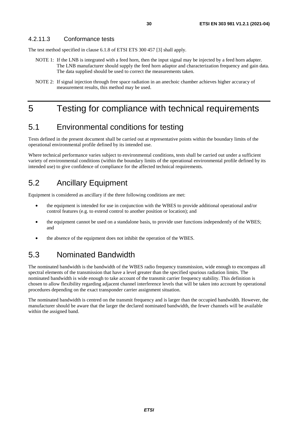### <span id="page-29-0"></span>4.2.11.3 Conformance tests

The test method specified in clause 6.1.8 of ETSI ETS 300 457 [\[3](#page-9-0)] shall apply.

- NOTE 1: If the LNB is integrated with a feed horn, then the input signal may be injected by a feed horn adapter. The LNB manufacturer should supply the feed horn adaptor and characterization frequency and gain data. The data supplied should be used to correct the measurements taken.
- NOTE 2: If signal injection through free space radiation in an anechoic chamber achieves higher accuracy of measurement results, this method may be used.

## 5 Testing for compliance with technical requirements

## 5.1 Environmental conditions for testing

Tests defined in the present document shall be carried out at representative points within the boundary limits of the operational environmental profile defined by its intended use.

Where technical performance varies subject to environmental conditions, tests shall be carried out under a sufficient variety of environmental conditions (within the boundary limits of the operational environmental profile defined by its intended use) to give confidence of compliance for the affected technical requirements.

## 5.2 Ancillary Equipment

Equipment is considered as ancillary if the three following conditions are met:

- the equipment is intended for use in conjunction with the WBES to provide additional operational and/or control features (e.g. to extend control to another position or location); and
- the equipment cannot be used on a standalone basis, to provide user functions independently of the WBES; and
- the absence of the equipment does not inhibit the operation of the WBES.

## 5.3 Nominated Bandwidth

The nominated bandwidth is the bandwidth of the WBES radio frequency transmission, wide enough to encompass all spectral elements of the transmission that have a level greater than the specified spurious radiation limits. The nominated bandwidth is wide enough to take account of the transmit carrier frequency stability. This definition is chosen to allow flexibility regarding adjacent channel interference levels that will be taken into account by operational procedures depending on the exact transponder carrier assignment situation.

The nominated bandwidth is centred on the transmit frequency and is larger than the occupied bandwidth. However, the manufacturer should be aware that the larger the declared nominated bandwidth, the fewer channels will be available within the assigned band.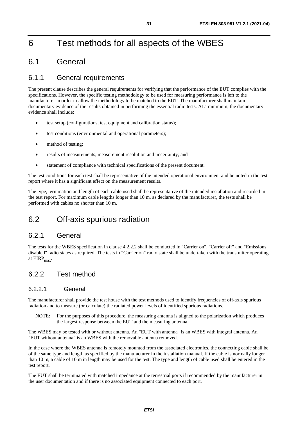## <span id="page-30-0"></span>6 Test methods for all aspects of the WBES

## 6.1 General

## 6.1.1 General requirements

The present clause describes the general requirements for verifying that the performance of the EUT complies with the specifications. However, the specific testing methodology to be used for measuring performance is left to the manufacturer in order to allow the methodology to be matched to the EUT. The manufacturer shall maintain documentary evidence of the results obtained in performing the essential radio tests. At a minimum, the documentary evidence shall include:

- test setup (configurations, test equipment and calibration status);
- test conditions (environmental and operational parameters);
- method of testing;
- results of measurements, measurement resolution and uncertainty; and
- statement of compliance with technical specifications of the present document.

The test conditions for each test shall be representative of the intended operational environment and be noted in the test report where it has a significant effect on the measurement results.

The type, termination and length of each cable used shall be representative of the intended installation and recorded in the test report. For maximum cable lengths longer than 10 m, as declared by the manufacturer, the tests shall be performed with cables no shorter than 10 m.

## 6.2 Off-axis spurious radiation

## 6.2.1 General

The tests for the WBES specification in clause 4.2.2.2 shall be conducted in "Carrier on", "Carrier off" and "Emissions disabled" radio states as required. The tests in "Carrier on" radio state shall be undertaken with the transmitter operating at  $EIRP<sub>max</sub>$ .

## 6.2.2 Test method

### 6.2.2.1 General

The manufacturer shall provide the test house with the test methods used to identify frequencies of off-axis spurious radiation and to measure (or calculate) the radiated power levels of identified spurious radiations.

NOTE: For the purposes of this procedure, the measuring antenna is aligned to the polarization which produces the largest response between the EUT and the measuring antenna.

The WBES may be tested with or without antenna. An "EUT with antenna" is an WBES with integral antenna. An "EUT without antenna" is an WBES with the removable antenna removed.

In the case where the WBES antenna is remotely mounted from the associated electronics, the connecting cable shall be of the same type and length as specified by the manufacturer in the installation manual. If the cable is normally longer than 10 m, a cable of 10 m in length may be used for the test. The type and length of cable used shall be entered in the test report.

The EUT shall be terminated with matched impedance at the terrestrial ports if recommended by the manufacturer in the user documentation and if there is no associated equipment connected to each port.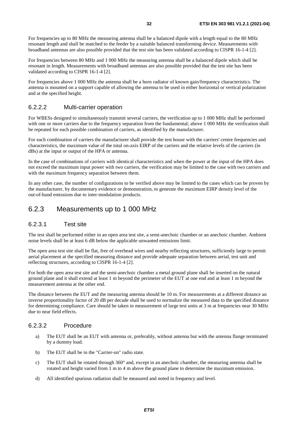<span id="page-31-0"></span>For frequencies up to 80 MHz the measuring antenna shall be a balanced dipole with a length equal to the 80 MHz resonant length and shall be matched to the feeder by a suitable balanced transforming device. Measurements with broadband antennas are also possible provided that the test site has been validated according to CISPR 16-1-4 [[2\]](#page-9-0).

For frequencies between 80 MHz and 1 000 MHz the measuring antenna shall be a balanced dipole which shall be resonant in length. Measurements with broadband antennas are also possible provided that the test site has been validated according to CISPR 16-1-4 [[2\]](#page-9-0).

For frequencies above 1 000 MHz the antenna shall be a horn radiator of known gain/frequency characteristics. The antenna is mounted on a support capable of allowing the antenna to be used in either horizontal or vertical polarization and at the specified height.

### 6.2.2.2 Multi-carrier operation

For WBESs designed to simultaneously transmit several carriers, the verification up to 1 000 MHz shall be performed with one or more carriers due to the frequency separation from the fundamental; above 1 000 MHz the verification shall be repeated for each possible combination of carriers, as identified by the manufacturer.

For each combination of carriers the manufacturer shall provide the test house with the carriers' centre frequencies and characteristics, the maximum value of the total on-axis EIRP of the carriers and the relative levels of the carriers (in dBs) at the input or output of the HPA or antenna.

In the case of combinations of carriers with identical characteristics and when the power at the input of the HPA does not exceed the maximum input power with two carriers, the verification may be limited to the case with two carriers and with the maximum frequency separation between them.

In any other case, the number of configurations to be verified above may be limited to the cases which can be proven by the manufacturer, by documentary evidence or demonstration, to generate the maximum EIRP density level of the out-of-band emissions due to inter-modulation products.

## 6.2.3 Measurements up to 1 000 MHz

### 6.2.3.1 Test site

The test shall be performed either in an open area test site, a semi-anechoic chamber or an anechoic chamber. Ambient noise levels shall be at least 6 dB below the applicable unwanted emissions limit.

The open area test site shall be flat, free of overhead wires and nearby reflecting structures, sufficiently large to permit aerial placement at the specified measuring distance and provide adequate separation between aerial, test unit and reflecting structures, according to CISPR 16-1-4 [\[2](#page-9-0)].

For both the open area test site and the semi-anechoic chamber a metal ground plane shall be inserted on the natural ground plane and it shall extend at least 1 m beyond the perimeter of the EUT at one end and at least 1 m beyond the measurement antenna at the other end.

The distance between the EUT and the measuring antenna should be 10 m. For measurements at a different distance an inverse proportionality factor of 20 dB per decade shall be used to normalize the measured data to the specified distance for determining compliance. Care should be taken in measurement of large test units at 3 m at frequencies near 30 MHz due to near field effects.

### 6.2.3.2 Procedure

- a) The EUT shall be an EUT with antenna or, preferably, without antenna but with the antenna flange terminated by a dummy load.
- b) The EUT shall be in the "Carrier-on" radio state.
- c) The EUT shall be rotated through 360° and, except in an anechoic chamber, the measuring antenna shall be rotated and height varied from 1 m to 4 m above the ground plane to determine the maximum emission.
- d) All identified spurious radiation shall be measured and noted in frequency and level.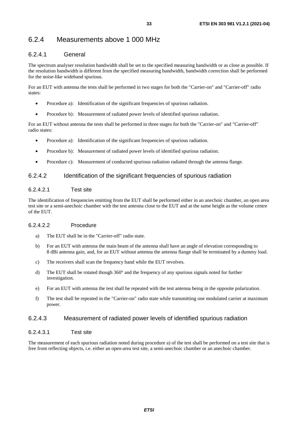## <span id="page-32-0"></span>6.2.4 Measurements above 1 000 MHz

### 6.2.4.1 General

The spectrum analyser resolution bandwidth shall be set to the specified measuring bandwidth or as close as possible. If the resolution bandwidth is different from the specified measuring bandwidth, bandwidth correction shall be performed for the noise-like wideband spurious.

For an EUT with antenna the tests shall be performed in two stages for both the "Carrier-on" and "Carrier-off" radio states:

- Procedure a): Identification of the significant frequencies of spurious radiation.
- Procedure b): Measurement of radiated power levels of identified spurious radiation.

For an EUT without antenna the tests shall be performed in three stages for both the "Carrier-on" and "Carrier-off" radio states:

- Procedure a): Identification of the significant frequencies of spurious radiation.
- Procedure b): Measurement of radiated power levels of identified spurious radiation.
- Procedure c): Measurement of conducted spurious radiation radiated through the antenna flange.

#### 6.2.4.2 Identification of the significant frequencies of spurious radiation

#### 6.2.4.2.1 Test site

The identification of frequencies emitting from the EUT shall be performed either in an anechoic chamber, an open area test site or a semi-anechoic chamber with the test antenna close to the EUT and at the same height as the volume centre of the EUT.

#### 6.2.4.2.2 Procedure

- a) The EUT shall be in the "Carrier-off" radio state.
- b) For an EUT with antenna the main beam of the antenna shall have an angle of elevation corresponding to 8 dBi antenna gain, and, for an EUT without antenna the antenna flange shall be terminated by a dummy load.
- c) The receivers shall scan the frequency band while the EUT revolves.
- d) The EUT shall be rotated though 360° and the frequency of any spurious signals noted for further investigation.
- e) For an EUT with antenna the test shall be repeated with the test antenna being in the opposite polarization.
- f) The test shall be repeated in the "Carrier-on" radio state while transmitting one modulated carrier at maximum power.

### 6.2.4.3 Measurement of radiated power levels of identified spurious radiation

#### 6.2.4.3.1 Test site

The measurement of each spurious radiation noted during procedure a) of the test shall be performed on a test site that is free from reflecting objects, i.e. either an open-area test site, a semi-anechoic chamber or an anechoic chamber.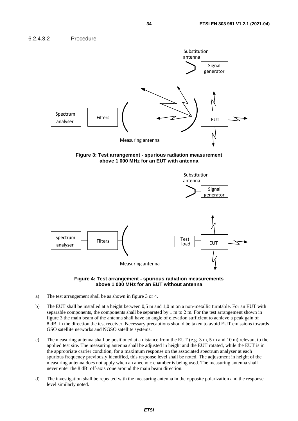<span id="page-33-0"></span>









- a) The test arrangement shall be as shown in figure 3 or 4.
- b) The EUT shall be installed at a height between 0,5 m and 1,0 m on a non-metallic turntable. For an EUT with separable components, the components shall be separated by 1 m to 2 m. For the test arrangement shown in figure 3 the main beam of the antenna shall have an angle of elevation sufficient to achieve a peak gain of 8 dBi in the direction the test receiver. Necessary precautions should be taken to avoid EUT emissions towards GSO satellite networks and NGSO satellite systems.
- c) The measuring antenna shall be positioned at a distance from the EUT (e.g.  $3 \text{ m}$ ,  $5 \text{ m}$  and  $10 \text{ m}$ ) relevant to the applied test site. The measuring antenna shall be adjusted in height and the EUT rotated, while the EUT is in the appropriate carrier condition, for a maximum response on the associated spectrum analyser at each spurious frequency previously identified, this response level shall be noted. The adjustment in height of the measuring antenna does not apply when an anechoic chamber is being used. The measuring antenna shall never enter the 8 dBi off-axis cone around the main beam direction.
- d) The investigation shall be repeated with the measuring antenna in the opposite polarization and the response level similarly noted.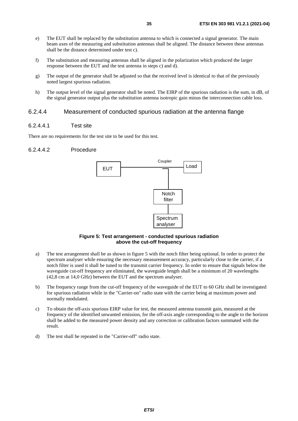- <span id="page-34-0"></span>e) The EUT shall be replaced by the substitution antenna to which is connected a signal generator. The main beam axes of the measuring and substitution antennas shall be aligned. The distance between these antennas shall be the distance determined under test c).
- f) The substitution and measuring antennas shall be aligned in the polarization which produced the larger response between the EUT and the test antenna in steps c) and d).
- g) The output of the generator shall be adjusted so that the received level is identical to that of the previously noted largest spurious radiation.
- h) The output level of the signal generator shall be noted. The EIRP of the spurious radiation is the sum, in dB, of the signal generator output plus the substitution antenna isotropic gain minus the interconnection cable loss.

#### 6.2.4.4 Measurement of conducted spurious radiation at the antenna flange

#### 6.2.4.4.1 Test site

There are no requirements for the test site to be used for this test.

#### 6.2.4.4.2 Procedure



#### **Figure 5: Test arrangement - conducted spurious radiation above the cut-off frequency**

- a) The test arrangement shall be as shown in figure 5 with the notch filter being optional. In order to protect the spectrum analyser while ensuring the necessary measurement accuracy, particularly close to the carrier, if a notch filter is used it shall be tuned to the transmit carrier frequency. In order to ensure that signals below the waveguide cut-off frequency are eliminated, the waveguide length shall be a minimum of 20 wavelengths (42,8 cm at 14,0 GHz) between the EUT and the spectrum analyser.
- b) The frequency range from the cut-off frequency of the waveguide of the EUT to 60 GHz shall be investigated for spurious radiation while in the "Carrier-on" radio state with the carrier being at maximum power and normally modulated.
- c) To obtain the off-axis spurious EIRP value for test, the measured antenna transmit gain, measured at the frequency of the identified unwanted emission, for the off-axis angle corresponding to the angle to the horizon shall be added to the measured power density and any correction or calibration factors summated with the result.
- d) The test shall be repeated in the "Carrier-off" radio state.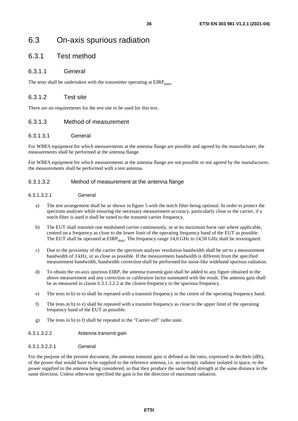## <span id="page-35-0"></span>6.3 On-axis spurious radiation

## 6.3.1 Test method

### 6.3.1.1 General

The tests shall be undertaken with the transmitter operating at  $EIRP<sub>max</sub>$ .

### 6.3.1.2 Test site

There are no requirements for the test site to be used for this test.

### 6.3.1.3 Method of measurement

#### 6.3.1.3.1 General

For WBES equipment for which measurements at the antenna flange are possible and agreed by the manufacturer, the measurements shall be performed at the antenna flange.

For WBES equipment for which measurements at the antenna flange are not possible or not agreed by the manufacturer, the measurements shall be performed with a test antenna.

#### 6.3.1.3.2 Method of measurement at the antenna flange

#### 6.3.1.3.2.1 General

- a) The test arrangement shall be as shown in figure 5 with the notch filter being optional. In order to protect the spectrum analyser while ensuring the necessary measurement accuracy, particularly close to the carrier, if a notch filter is used it shall be tuned to the transmit carrier frequency.
- b) The EUT shall transmit one modulated carrier continuously, or at its maximum burst rate where applicable, centred on a frequency as close to the lower limit of the operating frequency band of the EUT as possible. The EUT shall be operated at  $EIRP<sub>max</sub>$ . The frequency range 14,0 GHz to 14,50 GHz shall be investigated.
- c) Due to the proximity of the carrier the spectrum analyser resolution bandwidth shall be set to a measurement bandwidth of 3 kHz, or as close as possible. If the measurement bandwidth is different from the specified measurement bandwidth, bandwidth correction shall be performed for noise-like wideband spurious radiation.
- d) To obtain the on-axis spurious EIRP, the antenna transmit gain shall be added to any figure obtained in the above measurement and any correction or calibration factor summated with the result. The antenna gain shall be as measured in clause 6.3.1.3.2.2 at the closest frequency to the spurious frequency.
- e) The tests in b) to e) shall be repeated with a transmit frequency in the centre of the operating frequency band.
- f) The tests in b) to e) shall be repeated with a transmit frequency as close to the upper limit of the operating frequency band of the EUT as possible.
- g) The tests in b) to f) shall be repeated in the "Carrier-off" radio state.

#### 6.3.1.3.2.2 Antenna transmit gain

#### 6.3.1.3.2.2.1 General

For the purpose of the present document, the antenna transmit gain is defined as the ratio, expressed in decibels (dBi), of the power that would have to be supplied to the reference antenna, i.e. an isotropic radiator isolated in space, to the power supplied to the antenna being considered, so that they produce the same field strength at the same distance in the same direction. Unless otherwise specified the gain is for the direction of maximum radiation.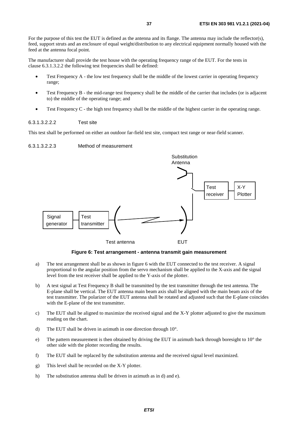For the purpose of this test the EUT is defined as the antenna and its flange. The antenna may include the reflector(s), feed, support struts and an enclosure of equal weight/distribution to any electrical equipment normally housed with the feed at the antenna focal point.

The manufacturer shall provide the test house with the operating frequency range of the EUT. For the tests in clause 6.3.1.3.2.2 the following test frequencies shall be defined:

- Test Frequency A the low test frequency shall be the middle of the lowest carrier in operating frequency range;
- Test Frequency B the mid-range test frequency shall be the middle of the carrier that includes (or is adjacent to) the middle of the operating range; and
- Test Frequency C the high test frequency shall be the middle of the highest carrier in the operating range.

6.3.1.3.2.2.2 Test site

This test shall be performed on either an outdoor far-field test site, compact test range or near-field scanner.



#### **Figure 6: Test arrangement - antenna transmit gain measurement**

- a) The test arrangement shall be as shown in figure 6 with the EUT connected to the test receiver. A signal proportional to the angular position from the servo mechanism shall be applied to the X-axis and the signal level from the test receiver shall be applied to the Y-axis of the plotter.
- b) A test signal at Test Frequency B shall be transmitted by the test transmitter through the test antenna. The E-plane shall be vertical. The EUT antenna main beam axis shall be aligned with the main beam axis of the test transmitter. The polarizer of the EUT antenna shall be rotated and adjusted such that the E-plane coincides with the E-plane of the test transmitter.
- c) The EUT shall be aligned to maximize the received signal and the X-Y plotter adjusted to give the maximum reading on the chart.
- d) The EUT shall be driven in azimuth in one direction through 10°.
- e) The pattern measurement is then obtained by driving the EUT in azimuth back through boresight to  $10^{\circ}$  the other side with the plotter recording the results.
- f) The EUT shall be replaced by the substitution antenna and the received signal level maximized.
- g) This level shall be recorded on the X-Y plotter.
- h) The substitution antenna shall be driven in azimuth as in d) and e).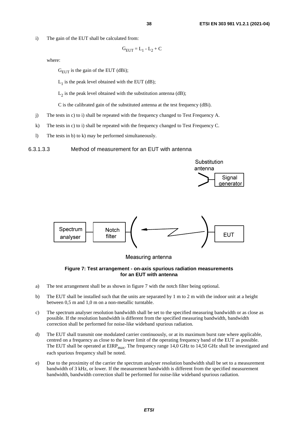i) The gain of the EUT shall be calculated from:

$$
G_{EUT} = L_1 - L_2 + C
$$

where:

 $G_{\text{EUT}}$  is the gain of the EUT (dBi);

 $L_1$  is the peak level obtained with the EUT (dB);

 $L_2$  is the peak level obtained with the substitution antenna (dB);

C is the calibrated gain of the substituted antenna at the test frequency (dBi).

- j) The tests in c) to i) shall be repeated with the frequency changed to Test Frequency A.
- k) The tests in c) to i) shall be repeated with the frequency changed to Test Frequency C.
- l) The tests in b) to k) may be performed simultaneously.

6.3.1.3.3 Method of measurement for an EUT with antenna





Measuring antenna

#### **Figure 7: Test arrangement - on-axis spurious radiation measurements for an EUT with antenna**

- a) The test arrangement shall be as shown in figure 7 with the notch filter being optional.
- b) The EUT shall be installed such that the units are separated by 1 m to 2 m with the indoor unit at a height between 0,5 m and 1,0 m on a non-metallic turntable.
- c) The spectrum analyser resolution bandwidth shall be set to the specified measuring bandwidth or as close as possible. If the resolution bandwidth is different from the specified measuring bandwidth, bandwidth correction shall be performed for noise-like wideband spurious radiation.
- d) The EUT shall transmit one modulated carrier continuously, or at its maximum burst rate where applicable, centred on a frequency as close to the lower limit of the operating frequency band of the EUT as possible. The EUT shall be operated at  $EIRP<sub>max</sub>$ . The frequency range 14,0 GHz to 14,50 GHz shall be investigated and each spurious frequency shall be noted.
- e) Due to the proximity of the carrier the spectrum analyser resolution bandwidth shall be set to a measurement bandwidth of 3 kHz, or lower. If the measurement bandwidth is different from the specified measurement bandwidth, bandwidth correction shall be performed for noise-like wideband spurious radiation.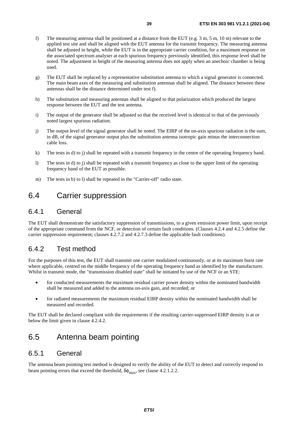- f) The measuring antenna shall be positioned at a distance from the EUT (e.g. 3 m, 5 m, 10 m) relevant to the applied test site and shall be aligned with the EUT antenna for the transmit frequency. The measuring antenna shall be adjusted in height, while the EUT is in the appropriate carrier condition, for a maximum response on the associated spectrum analyser at each spurious frequency previously identified, this response level shall be noted. The adjustment in height of the measuring antenna does not apply when an anechoic chamber is being used.
- g) The EUT shall be replaced by a representative substitution antenna to which a signal generator is connected. The main beam axes of the measuring and substitution antennas shall be aligned. The distance between these antennas shall be the distance determined under test f).
- h) The substitution and measuring antennas shall be aligned to that polarization which produced the largest response between the EUT and the test antenna.
- i) The output of the generator shall be adjusted so that the received level is identical to that of the previously noted largest spurious radiation.
- j) The output level of the signal generator shall be noted. The EIRP of the on-axis spurious radiation is the sum, in dB, of the signal generator output plus the substitution antenna isotropic gain minus the interconnection cable loss.
- k) The tests in d) to j) shall be repeated with a transmit frequency in the centre of the operating frequency band.
- l) The tests in d) to j) shall be repeated with a transmit frequency as close to the upper limit of the operating frequency band of the EUT as possible.
- m) The tests in b) to l) shall be repeated in the "Carrier-off" radio state.

## 6.4 Carrier suppression

### 6.4.1 General

The EUT shall demonstrate the satisfactory suppression of transmissions, to a given emission power limit, upon receipt of the appropriate command from the NCF, or detection of certain fault conditions. (Clauses 4.2.4 and 4.2.5 define the carrier suppression requirement; clauses 4.2.7.2 and 4.2.7.3 define the applicable fault conditions).

## 6.4.2 Test method

For the purposes of this test, the EUT shall transmit one carrier modulated continuously, or at its maximum burst rate where applicable, centred on the middle frequency of the operating frequency band as identified by the manufacturer. Whilst in transmit mode, the "transmission disabled state" shall be initiated by use of the NCF or an STE:

- for conducted measurements the maximum residual carrier power density within the nominated bandwidth shall be measured and added to the antenna on-axis gain, and recorded; or
- for radiated measurements the maximum residual EIRP density within the nominated bandwidth shall be measured and recorded.

The EUT shall be declared compliant with the requirements if the resulting carrier-suppressed EIRP density is at or below the limit given in clause 4.2.4.2.

## 6.5 Antenna beam pointing

### 6.5.1 General

The antenna beam pointing test method is designed to verify the ability of the EUT to detect and correctly respond to beam pointing errors that exceed the threshold,  $\delta\phi_{\text{max}}$ , see clause 4.2.1.2.2.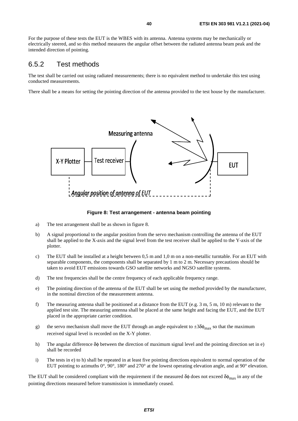For the purpose of these tests the EUT is the WBES with its antenna. Antenna systems may be mechanically or electrically steered, and so this method measures the angular offset between the radiated antenna beam peak and the intended direction of pointing.

### 6.5.2 Test methods

The test shall be carried out using radiated measurements; there is no equivalent method to undertake this test using conducted measurements.

There shall be a means for setting the pointing direction of the antenna provided to the test house by the manufacturer.



#### **Figure 8: Test arrangement - antenna beam pointing**

- a) The test arrangement shall be as shown in figure 8.
- b) A signal proportional to the angular position from the servo mechanism controlling the antenna of the EUT shall be applied to the X-axis and the signal level from the test receiver shall be applied to the Y-axis of the plotter.
- c) The EUT shall be installed at a height between 0,5 m and 1,0 m on a non-metallic turntable. For an EUT with separable components, the components shall be separated by 1 m to 2 m. Necessary precautions should be taken to avoid EUT emissions towards GSO satellite networks and NGSO satellite systems.
- d) The test frequencies shall be the centre frequency of each applicable frequency range.
- e) The pointing direction of the antenna of the EUT shall be set using the method provided by the manufacturer, in the nominal direction of the measurement antenna.
- f) The measuring antenna shall be positioned at a distance from the EUT (e.g. 3 m, 5 m, 10 m) relevant to the applied test site. The measuring antenna shall be placed at the same height and facing the EUT, and the EUT placed in the appropriate carrier condition.
- g) the servo mechanism shall move the EUT through an angle equivalent to  $\pm 3\delta\phi_{\rm max}$  so that the maximum received signal level is recorded on the X-Y plotter.
- h) The angular difference δφ between the direction of maximum signal level and the pointing direction set in e) shall be recorded
- i) The tests in e) to h) shall be repeated in at least five pointing directions equivalent to normal operation of the EUT pointing to azimuths 0°, 90°, 180° and 270° at the lowest operating elevation angle, and at 90° elevation.

The EUT shall be considered compliant with the requirement if the measured  $\delta\phi$  does not exceed  $\delta\phi_{\rm max}$  in any of the pointing directions measured before transmission is immediately ceased.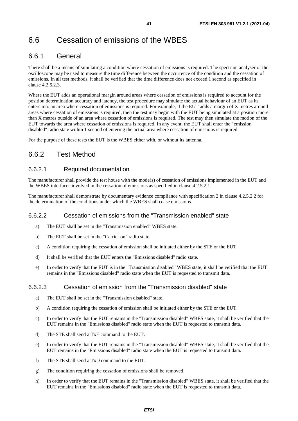# 6.6 Cessation of emissions of the WBES

## 6.6.1 General

There shall be a means of simulating a condition where cessation of emissions is required. The spectrum analyser or the oscilloscope may be used to measure the time difference between the occurrence of the condition and the cessation of emissions. In all test methods, it shall be verified that the time difference does not exceed 1 second as specified in clause 4.2.5.2.3.

Where the EUT adds an operational margin around areas where cessation of emissions is required to account for the position determination accuracy and latency, the test procedure may simulate the actual behaviour of an EUT as its enters into an area where cessation of emissions is required. For example, if the EUT adds a margin of X metres around areas where cessation of emissions is required, then the test may begin with the EUT being simulated at a position more than X metres outside of an area where cessation of emissions is required. The test may then simulate the motion of the EUT towards the area where cessation of emissions is required. In any event, the EUT shall enter the "emission disabled" radio state within 1 second of entering the actual area where cessation of emissions is required.

For the purpose of these tests the EUT is the WBES either with, or without its antenna.

## 6.6.2 Test Method

### 6.6.2.1 Required documentation

The manufacturer shall provide the test house with the mode(s) of cessation of emissions implemented in the EUT and the WBES interfaces involved in the cessation of emissions as specified in clause 4.2.5.2.1.

The manufacturer shall demonstrate by documentary evidence compliance with specification 2 in clause 4.2.5.2.2 for the determination of the conditions under which the WBES shall cease emissions.

### 6.6.2.2 Cessation of emissions from the "Transmission enabled" state

- a) The EUT shall be set in the "Transmission enabled" WBES state.
- b) The EUT shall be set in the "Carrier on" radio state.
- c) A condition requiring the cessation of emission shall be initiated either by the STE or the EUT.
- d) It shall be verified that the EUT enters the "Emissions disabled" radio state.
- e) In order to verify that the EUT is in the "Transmission disabled" WBES state, it shall be verified that the EUT remains in the "Emissions disabled" radio state when the EUT is requested to transmit data.

### 6.6.2.3 Cessation of emission from the "Transmission disabled" state

- a) The EUT shall be set in the "Transmission disabled" state.
- b) A condition requiring the cessation of emission shall be initiated either by the STE or the EUT.
- c) In order to verify that the EUT remains in the "Transmission disabled" WBES state, it shall be verified that the EUT remains in the "Emissions disabled" radio state when the EUT is requested to transmit data.
- d) The STE shall send a TxE command to the EUT.
- e) In order to verify that the EUT remains in the "Transmission disabled" WBES state, it shall be verified that the EUT remains in the "Emissions disabled" radio state when the EUT is requested to transmit data.
- f) The STE shall send a TxD command to the EUT.
- g) The condition requiring the cessation of emissions shall be removed.
- h) In order to verify that the EUT remains in the "Transmission disabled" WBES state, it shall be verified that the EUT remains in the "Emissions disabled" radio state when the EUT is requested to transmit data.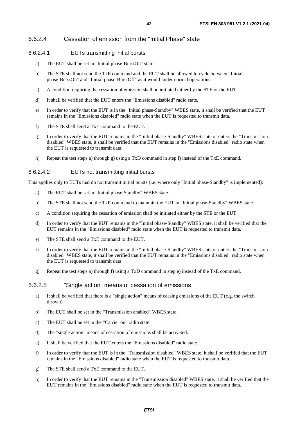### 6.6.2.4 Cessation of emission from the "Initial Phase" state

### 6.6.2.4.1 EUTs transmitting initial bursts

- a) The EUT shall be set in "Initial phase-BurstOn" state.
- b) The STE shall not send the TxE command and the EUT shall be allowed to cycle between "Initial phase-BurstOn" and "Initial phase-BurstOff" as it would under normal operations.
- c) A condition requiring the cessation of emission shall be initiated either by the STE or the EUT.
- d) It shall be verified that the EUT enters the "Emissions disabled" radio state.
- e) In order to verify that the EUT is in the "Initial phase-Standby" WBES state, it shall be verified that the EUT remains in the "Emissions disabled" radio state when the EUT is requested to transmit data.
- f) The STE shall send a TxE command to the EUT.
- g) In order to verify that the EUT remains in the "Initial phase-Standby" WBES state or enters the "Transmission disabled" WBES state, it shall be verified that the EUT remains in the "Emissions disabled" radio state when the EUT is requested to transmit data.
- h) Repeat the test steps a) through g) using a TxD command in step f) instead of the TxE command.

### 6.6.2.4.2 EUTs not transmitting initial bursts

This applies only to EUTs that do not transmit initial bursts (i.e. where only "Initial phase-Standby" is implemented):

- a) The EUT shall be set in "Initial phase-Standby" WBES state.
- b) The STE shall not send the TxE command to maintain the EUT in "Initial phase-Standby" WBES state.
- c) A condition requiring the cessation of emission shall be initiated either by the STE or the EUT.
- d) In order to verify that the EUT remains in the "Initial phase-Standby" WBES state, it shall be verified that the EUT remains in the "Emissions disabled" radio state when the EUT is requested to transmit data.
- e) The STE shall send a TxE command to the EUT.
- f) In order to verify that the EUT remains in the "Initial phase-Standby" WBES state or enters the "Transmission disabled" WBES state, it shall be verified that the EUT remains in the "Emissions disabled" radio state when the EUT is requested to transmit data.
- g) Repeat the test steps a) through f) using a TxD command in step e) instead of the TxE command.

### 6.6.2.5 "Single action" means of cessation of emissions

- a) It shall be verified that there is a "single action" means of ceasing emissions of the EUT (e.g. the switch thrown).
- b) The EUT shall be set in the "Transmission enabled" WBES state.
- c) The EUT shall be set in the "Carrier on" radio state.
- d) The "single action" means of cessation of emissions shall be activated.
- e) It shall be verified that the EUT enters the "Emissions disabled" radio state.
- f) In order to verify that the EUT is in the "Transmission disabled" WBES state, it shall be verified that the EUT remains in the "Emissions disabled" radio state when the EUT is requested to transmit data.
- g) The STE shall send a TxE command to the EUT.
- h) In order to verify that the EUT remains in the "Transmission disabled" WBES state, it shall be verified that the EUT remains in the "Emissions disabled" radio state when the EUT is requested to transmit data.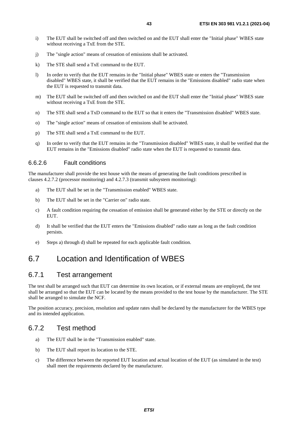- i) The EUT shall be switched off and then switched on and the EUT shall enter the "Initial phase" WBES state without receiving a TxE from the STE.
- j) The "single action" means of cessation of emissions shall be activated.
- k) The STE shall send a TxE command to the EUT.
- l) In order to verify that the EUT remains in the "Initial phase" WBES state or enters the "Transmission disabled" WBES state, it shall be verified that the EUT remains in the "Emissions disabled" radio state when the EUT is requested to transmit data.
- m) The EUT shall be switched off and then switched on and the EUT shall enter the "Initial phase" WBES state without receiving a TxE from the STE.
- n) The STE shall send a TxD command to the EUT so that it enters the "Transmission disabled" WBES state.
- o) The "single action" means of cessation of emissions shall be activated.
- p) The STE shall send a TxE command to the EUT.
- q) In order to verify that the EUT remains in the "Transmission disabled" WBES state, it shall be verified that the EUT remains in the "Emissions disabled" radio state when the EUT is requested to transmit data.

### 6.6.2.6 Fault conditions

The manufacturer shall provide the test house with the means of generating the fault conditions prescribed in clauses 4.2.7.2 (processor monitoring) and 4.2.7.3 (transmit subsystem monitoring):

- a) The EUT shall be set in the "Transmission enabled" WBES state.
- b) The EUT shall be set in the "Carrier on" radio state.
- c) A fault condition requiring the cessation of emission shall be generated either by the STE or directly on the EUT.
- d) It shall be verified that the EUT enters the "Emissions disabled" radio state as long as the fault condition persists.
- e) Steps a) through d) shall be repeated for each applicable fault condition.

# 6.7 Location and Identification of WBES

### 6.7.1 Test arrangement

The test shall be arranged such that EUT can determine its own location, or if external means are employed, the test shall be arranged so that the EUT can be located by the means provided to the test house by the manufacturer. The STE shall be arranged to simulate the NCF.

The position accuracy, precision, resolution and update rates shall be declared by the manufacturer for the WBES type and its intended application.

### 6.7.2 Test method

- a) The EUT shall be in the "Transmission enabled" state.
- b) The EUT shall report its location to the STE.
- c) The difference between the reported EUT location and actual location of the EUT (as simulated in the test) shall meet the requirements declared by the manufacturer.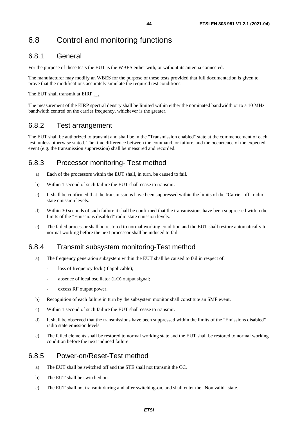## 6.8.1 General

For the purpose of these tests the EUT is the WBES either with, or without its antenna connected.

The manufacturer may modify an WBES for the purpose of these tests provided that full documentation is given to prove that the modifications accurately simulate the required test conditions.

The EUT shall transmit at  $EIRP<sub>max</sub>$ .

The measurement of the EIRP spectral density shall be limited within either the nominated bandwidth or to a 10 MHz bandwidth centred on the carrier frequency, whichever is the greater.

## 6.8.2 Test arrangement

The EUT shall be authorized to transmit and shall be in the "Transmission enabled" state at the commencement of each test, unless otherwise stated. The time difference between the command, or failure, and the occurrence of the expected event (e.g. the transmission suppression) shall be measured and recorded.

## 6.8.3 Processor monitoring- Test method

- a) Each of the processors within the EUT shall, in turn, be caused to fail.
- b) Within 1 second of such failure the EUT shall cease to transmit.
- c) It shall be confirmed that the transmissions have been suppressed within the limits of the "Carrier-off" radio state emission levels.
- d) Within 30 seconds of such failure it shall be confirmed that the transmissions have been suppressed within the limits of the "Emissions disabled" radio state emission levels.
- e) The failed processor shall be restored to normal working condition and the EUT shall restore automatically to normal working before the next processor shall be induced to fail.

## 6.8.4 Transmit subsystem monitoring-Test method

- a) The frequency generation subsystem within the EUT shall be caused to fail in respect of:
	- loss of frequency lock (if applicable);
	- absence of local oscillator (LO) output signal;
	- excess RF output power.
- b) Recognition of each failure in turn by the subsystem monitor shall constitute an SMF event.
- c) Within 1 second of such failure the EUT shall cease to transmit.
- d) It shall be observed that the transmissions have been suppressed within the limits of the "Emissions disabled" radio state emission levels.
- e) The failed elements shall be restored to normal working state and the EUT shall be restored to normal working condition before the next induced failure.

## 6.8.5 Power-on/Reset-Test method

- a) The EUT shall be switched off and the STE shall not transmit the CC.
- b) The EUT shall be switched on.
- c) The EUT shall not transmit during and after switching-on, and shall enter the "Non valid" state.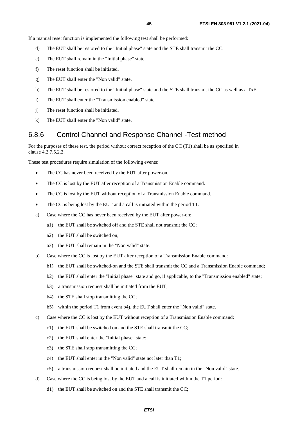If a manual reset function is implemented the following test shall be performed:

- d) The EUT shall be restored to the "Initial phase" state and the STE shall transmit the CC.
- e) The EUT shall remain in the "Initial phase" state.
- f) The reset function shall be initiated.
- g) The EUT shall enter the "Non valid" state.
- h) The EUT shall be restored to the "Initial phase" state and the STE shall transmit the CC as well as a TxE.
- i) The EUT shall enter the "Transmission enabled" state.
- j) The reset function shall be initiated.
- k) The EUT shall enter the "Non valid" state.

### 6.8.6 Control Channel and Response Channel -Test method

For the purposes of these test, the period without correct reception of the CC (T1) shall be as specified in clause 4.2.7.5.2.2.

These test procedures require simulation of the following events:

- The CC has never been received by the EUT after power-on.
- The CC is lost by the EUT after reception of a Transmission Enable command.
- The CC is lost by the EUT without reception of a Transmission Enable command.
- The CC is being lost by the EUT and a call is initiated within the period T1.
- a) Case where the CC has never been received by the EUT after power-on:
	- a1) the EUT shall be switched off and the STE shall not transmit the CC;
	- a2) the EUT shall be switched on;
	- a3) the EUT shall remain in the "Non valid" state.
- b) Case where the CC is lost by the EUT after reception of a Transmission Enable command:
	- b1) the EUT shall be switched-on and the STE shall transmit the CC and a Transmission Enable command;
	- b2) the EUT shall enter the "Initial phase" state and go, if applicable, to the "Transmission enabled" state;
	- b3) a transmission request shall be initiated from the EUT;
	- b4) the STE shall stop transmitting the CC;
	- b5) within the period T1 from event b4), the EUT shall enter the "Non valid" state.
- c) Case where the CC is lost by the EUT without reception of a Transmission Enable command:
	- c1) the EUT shall be switched on and the STE shall transmit the CC;
	- c2) the EUT shall enter the "Initial phase" state;
	- c3) the STE shall stop transmitting the CC;
	- c4) the EUT shall enter in the "Non valid" state not later than T1;
	- c5) a transmission request shall be initiated and the EUT shall remain in the "Non valid" state.
- d) Case where the CC is being lost by the EUT and a call is initiated within the T1 period:
	- d1) the EUT shall be switched on and the STE shall transmit the CC;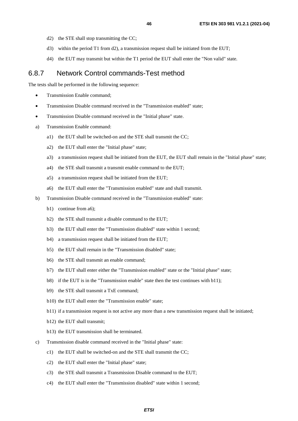- d2) the STE shall stop transmitting the CC;
- d3) within the period T1 from d2), a transmission request shall be initiated from the EUT;
- d4) the EUT may transmit but within the T1 period the EUT shall enter the "Non valid" state.

### 6.8.7 Network Control commands-Test method

The tests shall be performed in the following sequence:

- Transmission Enable command;
- Transmission Disable command received in the "Transmission enabled" state;
- Transmission Disable command received in the "Initial phase" state.
- a) Transmission Enable command:
	- a1) the EUT shall be switched-on and the STE shall transmit the CC;
	- a2) the EUT shall enter the "Initial phase" state;
	- a3) a transmission request shall be initiated from the EUT, the EUT shall remain in the "Initial phase" state;
	- a4) the STE shall transmit a transmit enable command to the EUT;
	- a5) a transmission request shall be initiated from the EUT;
	- a6) the EUT shall enter the "Transmission enabled" state and shall transmit.
- b) Transmission Disable command received in the "Transmission enabled" state:
	- b1) continue from a6);
	- b2) the STE shall transmit a disable command to the EUT;
	- b3) the EUT shall enter the "Transmission disabled" state within 1 second;
	- b4) a transmission request shall be initiated from the EUT;
	- b5) the EUT shall remain in the "Transmission disabled" state;
	- b6) the STE shall transmit an enable command;
	- b7) the EUT shall enter either the "Transmission enabled" state or the "Initial phase" state;
	- b8) if the EUT is in the "Transmission enable" state then the test continues with b11);
	- b9) the STE shall transmit a TxE command;
	- b10) the EUT shall enter the "Transmission enable" state;
	- b11) if a transmission request is not active any more than a new transmission request shall be initiated;
	- b12) the EUT shall transmit;
	- b13) the EUT transmission shall be terminated.
- c) Transmission disable command received in the "Initial phase" state:
	- c1) the EUT shall be switched-on and the STE shall transmit the CC;
	- c2) the EUT shall enter the "Initial phase" state;
	- c3) the STE shall transmit a Transmission Disable command to the EUT;
	- c4) the EUT shall enter the "Transmission disabled" state within 1 second;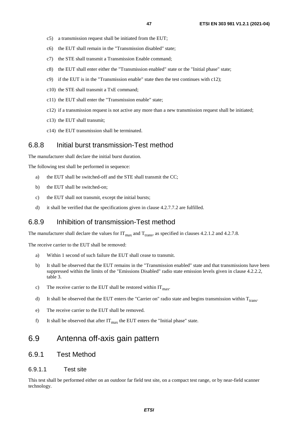- c5) a transmission request shall be initiated from the EUT;
- c6) the EUT shall remain in the "Transmission disabled" state;
- c7) the STE shall transmit a Transmission Enable command;
- c8) the EUT shall enter either the "Transmission enabled" state or the "Initial phase" state;
- c9) if the EUT is in the "Transmission enable" state then the test continues with c12);
- c10) the STE shall transmit a TxE command;
- c11) the EUT shall enter the "Transmission enable" state;
- c12) if a transmission request is not active any more than a new transmission request shall be initiated;
- c13) the EUT shall transmit;
- c14) the EUT transmission shall be terminated.

### 6.8.8 Initial burst transmission-Test method

The manufacturer shall declare the initial burst duration.

The following test shall be performed in sequence:

- a) the EUT shall be switched-off and the STE shall transmit the CC;
- b) the EUT shall be switched-on;
- c) the EUT shall not transmit, except the initial bursts;
- d) it shall be verified that the specifications given in clause  $4.2.7.7.2$  are fulfilled.

### 6.8.9 Inhibition of transmission-Test method

The manufacturer shall declare the values for  $IT_{\text{max}}$  and  $T_{\text{trans}}$ , as specified in clauses 4.2.1.2 and 4.2.7.8.

The receive carrier to the EUT shall be removed:

- a) Within 1 second of such failure the EUT shall cease to transmit.
- b) It shall be observed that the EUT remains in the "Transmission enabled" state and that transmissions have been suppressed within the limits of the "Emissions Disabled" radio state emission levels given in clause 4.2.2.2, table 3.
- c) The receive carrier to the EUT shall be restored within  $IT<sub>max</sub>$ .
- d) It shall be observed that the EUT enters the "Carrier on" radio state and begins transmission within  $T_{\text{trans}}$ .
- e) The receive carrier to the EUT shall be removed.
- f) It shall be observed that after  $IT_{max}$  the EUT enters the "Initial phase" state.

## 6.9 Antenna off-axis gain pattern

### 6.9.1 Test Method

### 6.9.1.1 Test site

This test shall be performed either on an outdoor far field test site, on a compact test range, or by near-field scanner technology.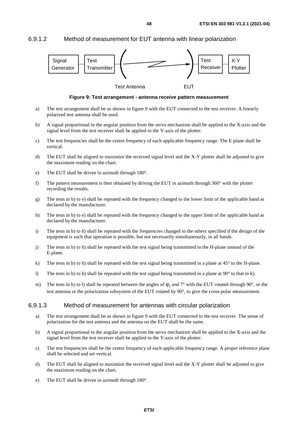6.9.1.2 Method of measurement for EUT antenna with linear polarization



**Figure 9: Test arrangement - antenna receive pattern measurement** 

- a) The test arrangement shall be as shown in figure 9 with the EUT connected to the test receiver. A linearly polarized test antenna shall be used.
- b) A signal proportional to the angular position from the servo mechanism shall be applied to the X-axis and the signal level from the test receiver shall be applied to the Y-axis of the plotter.
- c) The test frequencies shall be the centre frequency of each applicable frequency range. The E plane shall be vertical.
- d) The EUT shall be aligned to maximize the received signal level and the X-Y plotter shall be adjusted to give the maximum reading on the chart.
- e) The EUT shall be driven in azimuth through 180°.
- f) The pattern measurement is then obtained by driving the EUT in azimuth through  $360^\circ$  with the plotter recording the results.
- g) The tests in b) to e) shall be repeated with the frequency changed to the lower limit of the applicable band as declared by the manufacturer.
- h) The tests in b) to e) shall be repeated with the frequency changed to the upper limit of the applicable band as declared by the manufacturer.
- i) The tests in b) to h) shall be repeated with the frequencies changed to the others specified if the design of the equipment is such that operation is possible, but not necessarily simultaneously, in all bands.
- j) The tests in b) to h) shall be repeated with the test signal being transmitted in the H-plane instead of the E-plane.
- k) The tests in b) to h) shall be repeated with the test signal being transmitted in a plane at  $45^{\circ}$  to the H-plane.
- l) The tests in b) to h) shall be repeated with the test signal being transmitted in a plane at  $90^\circ$  to that in k).
- m) The tests in b) to l) shall be repeated between the angles of  $\varphi$ , and  $7^\circ$  with the EUT rotated through 90°, or the test antenna or the polarization subsystem of the EUT rotated by 90°, to give the cross-polar measurement.

### 6.9.1.3 Method of measurement for antennas with circular polarization

- a) The test arrangement shall be as shown in figure 9 with the EUT connected to the test receiver. The sense of polarization for the test antenna and the antenna on the EUT shall be the same.
- b) A signal proportional to the angular position from the servo mechanism shall be applied to the X-axis and the signal level from the test receiver shall be applied to the Y-axis of the plotter.
- c) The test frequencies shall be the centre frequency of each applicable frequency range. A proper reference plane shall be selected and set vertical.
- d) The EUT shall be aligned to maximize the received signal level and the X-Y plotter shall be adjusted to give the maximum reading on the chart.
- e) The EUT shall be driven in azimuth through 180°.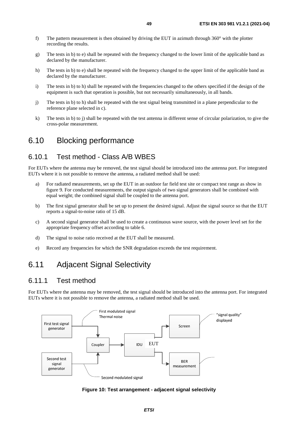- f) The pattern measurement is then obtained by driving the EUT in azimuth through 360° with the plotter recording the results.
- g) The tests in b) to e) shall be repeated with the frequency changed to the lower limit of the applicable band as declared by the manufacturer.
- h) The tests in b) to e) shall be repeated with the frequency changed to the upper limit of the applicable band as declared by the manufacturer.
- i) The tests in b) to h) shall be repeated with the frequencies changed to the others specified if the design of the equipment is such that operation is possible, but not necessarily simultaneously, in all bands.
- j) The tests in b) to h) shall be repeated with the test signal being transmitted in a plane perpendicular to the reference plane selected in c).
- k) The tests in b) to j) shall be repeated with the test antenna in different sense of circular polarization, to give the cross-polar measurement.

## 6.10 Blocking performance

### 6.10.1 Test method - Class A/B WBES

For EUTs where the antenna may be removed, the test signal should be introduced into the antenna port. For integrated EUTs where it is not possible to remove the antenna, a radiated method shall be used:

- a) For radiated measurements, set up the EUT in an outdoor far field test site or compact test range as show in figure 9. For conducted measurements, the output signals of two signal generators shall be combined with equal weight; the combined signal shall be coupled to the antenna port.
- b) The first signal generator shall be set up to present the desired signal. Adjust the signal source so that the EUT reports a signal-to-noise ratio of 15 dB.
- c) A second signal generator shall be used to create a continuous wave source, with the power level set for the appropriate frequency offset according to table 6.
- d) The signal to noise ratio received at the EUT shall be measured.
- e) Record any frequencies for which the SNR degradation exceeds the test requirement.

## 6.11 Adjacent Signal Selectivity

### 6.11.1 Test method

For EUTs where the antenna may be removed, the test signal should be introduced into the antenna port. For integrated EUTs where it is not possible to remove the antenna, a radiated method shall be used.



**Figure 10: Test arrangement - adjacent signal selectivity**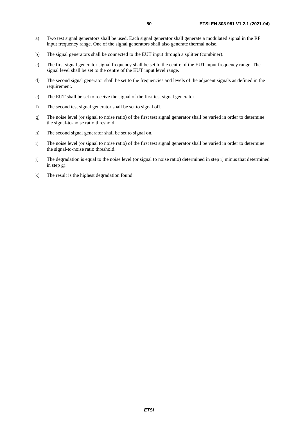- a) Two test signal generators shall be used. Each signal generator shall generate a modulated signal in the RF input frequency range. One of the signal generators shall also generate thermal noise.
- b) The signal generators shall be connected to the EUT input through a splitter (combiner).
- c) The first signal generator signal frequency shall be set to the centre of the EUT input frequency range. The signal level shall be set to the centre of the EUT input level range.
- d) The second signal generator shall be set to the frequencies and levels of the adjacent signals as defined in the requirement.
- e) The EUT shall be set to receive the signal of the first test signal generator.
- f) The second test signal generator shall be set to signal off.
- g) The noise level (or signal to noise ratio) of the first test signal generator shall be varied in order to determine the signal-to-noise ratio threshold.
- h) The second signal generator shall be set to signal on.
- i) The noise level (or signal to noise ratio) of the first test signal generator shall be varied in order to determine the signal-to-noise ratio threshold.
- j) The degradation is equal to the noise level (or signal to noise ratio) determined in step i) minus that determined in step g).
- k) The result is the highest degradation found.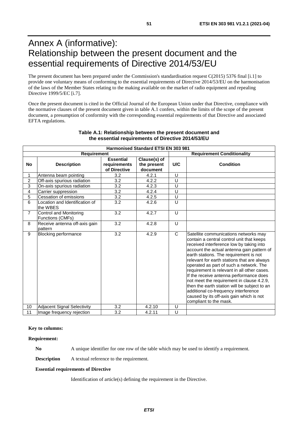# Annex A (informative): Relationship between the present document and the essential requirements of Directive 2014/53/EU

The present document has been prepared under the Commission's standardisation request C(2015) 5376 final [\[i.1\]](#page-9-0) to provide one voluntary means of conforming to the essential requirements of Directive 2014/53/EU on the harmonisation of the laws of the Member States relating to the making available on the market of radio equipment and repealing Directive 1999/5/EC [\[i.7](#page-10-0)].

Once the present document is cited in the Official Journal of the European Union under that Directive, compliance with the normative clauses of the present document given in table A.1 confers, within the limits of the scope of the present document, a presumption of conformity with the corresponding essential requirements of that Directive and associated EFTA regulations.

| <b>Harmonised Standard ETSI EN 303 981</b> |                                            |                                                                                             |                                   |              |                                                                                                                                                                                                                                                                                                                                                                                                                                                                                                                                                                                                                       |  |  |
|--------------------------------------------|--------------------------------------------|---------------------------------------------------------------------------------------------|-----------------------------------|--------------|-----------------------------------------------------------------------------------------------------------------------------------------------------------------------------------------------------------------------------------------------------------------------------------------------------------------------------------------------------------------------------------------------------------------------------------------------------------------------------------------------------------------------------------------------------------------------------------------------------------------------|--|--|
|                                            | Requirement                                |                                                                                             | <b>Requirement Conditionality</b> |              |                                                                                                                                                                                                                                                                                                                                                                                                                                                                                                                                                                                                                       |  |  |
| <b>No</b>                                  | <b>Description</b>                         | <b>Essential</b><br>Clause(s) of<br>the present<br>requirements<br>of Directive<br>document |                                   | U/C          | <b>Condition</b>                                                                                                                                                                                                                                                                                                                                                                                                                                                                                                                                                                                                      |  |  |
| $\mathbf{1}$                               | Antenna beam pointing                      | 3.2                                                                                         | 4.2.1                             | U            |                                                                                                                                                                                                                                                                                                                                                                                                                                                                                                                                                                                                                       |  |  |
| $\overline{2}$                             | Off-axis spurious radiation                | $\overline{3.2}$                                                                            | 4.2.2                             | U            |                                                                                                                                                                                                                                                                                                                                                                                                                                                                                                                                                                                                                       |  |  |
| 3                                          | On-axis spurious radiation                 | 3.2                                                                                         | 4.2.3                             | U            |                                                                                                                                                                                                                                                                                                                                                                                                                                                                                                                                                                                                                       |  |  |
| 4                                          | Carrier suppression                        | 3.2                                                                                         | 4.2.4                             | $\cup$       |                                                                                                                                                                                                                                                                                                                                                                                                                                                                                                                                                                                                                       |  |  |
| $\overline{5}$                             | Cessation of emissions                     | 3.2                                                                                         | 4.2.5                             | Ū            |                                                                                                                                                                                                                                                                                                                                                                                                                                                                                                                                                                                                                       |  |  |
| 6                                          | Location and Identification of<br>the WBES | 3.2                                                                                         | 4.2.6                             | U            |                                                                                                                                                                                                                                                                                                                                                                                                                                                                                                                                                                                                                       |  |  |
| $\overline{7}$                             | Control and Monitoring<br>Functions (CMFs) | 3.2                                                                                         | 4.2.7                             | $\cup$       |                                                                                                                                                                                                                                                                                                                                                                                                                                                                                                                                                                                                                       |  |  |
| 8                                          | Receive antenna off-axis gain<br>pattern   | 3.2                                                                                         | 4.2.8                             | U            |                                                                                                                                                                                                                                                                                                                                                                                                                                                                                                                                                                                                                       |  |  |
| 9                                          | <b>Blocking performance</b>                | 3.2                                                                                         | 4.2.9                             | $\mathsf{C}$ | Satellite communications networks may<br>contain a central control unit that keeps<br>received interference low by taking into<br>account the actual antenna gain pattern of<br>earth stations. The requirement is not<br>relevant for earth stations that are always<br>operated as part of such a network. The<br>requirement is relevant in all other cases.<br>If the receive antenna performance does<br>not meet the requirement in clause 4.2.9,<br>then the earth station will be subject to an<br>additional co-frequency interference<br>caused by its off-axis gain which is not<br>compliant to the mask. |  |  |
| 10                                         | <b>Adjacent Signal Selectivity</b>         | 3.2                                                                                         | 4.2.10                            | U            |                                                                                                                                                                                                                                                                                                                                                                                                                                                                                                                                                                                                                       |  |  |
| 11                                         | Image frequency rejection                  | 3.2                                                                                         | 4.2.11                            | U            |                                                                                                                                                                                                                                                                                                                                                                                                                                                                                                                                                                                                                       |  |  |

### **Table A.1: Relationship between the present document and the essential requirements of Directive 2014/53/EU**

#### **Key to columns:**

#### **Requirement:**

**No** A unique identifier for one row of the table which may be used to identify a requirement.

**Description** A textual reference to the requirement.

#### **Essential requirements of Directive**

Identification of article(s) defining the requirement in the Directive.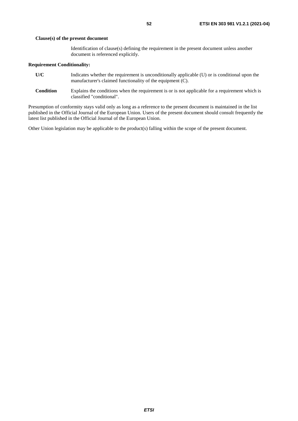#### **Clause(s) of the present document**

Identification of clause(s) defining the requirement in the present document unless another document is referenced explicitly.

#### **Requirement Conditionality:**

- **U/C** Indicates whether the requirement is unconditionally applicable (U) or is conditional upon the manufacturer's claimed functionality of the equipment (C).
- **Condition** Explains the conditions when the requirement is or is not applicable for a requirement which is classified "conditional".

Presumption of conformity stays valid only as long as a reference to the present document is maintained in the list published in the Official Journal of the European Union. Users of the present document should consult frequently the latest list published in the Official Journal of the European Union.

Other Union legislation may be applicable to the product(s) falling within the scope of the present document.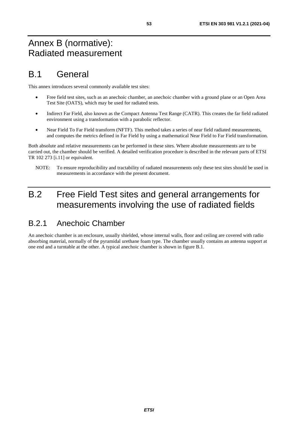# Annex B (normative): Radiated measurement

# B.1 General

This annex introduces several commonly available test sites:

- Free field test sites, such as an anechoic chamber, an anechoic chamber with a ground plane or an Open Area Test Site (OATS), which may be used for radiated tests.
- Indirect Far Field, also known as the Compact Antenna Test Range (CATR). This creates the far field radiated environment using a transformation with a parabolic reflector.
- Near Field To Far Field transform (NFTF). This method takes a series of near field radiated measurements, and computes the metrics defined in Far Field by using a mathematical Near Field to Far Field transformation.

Both absolute and relative measurements can be performed in these sites. Where absolute measurements are to be carried out, the chamber should be verified. A detailed verification procedure is described in the relevant parts of ETSI TR 102 273 [\[i.11](#page-10-0)] or equivalent.

NOTE: To ensure reproducibility and tractability of radiated measurements only these test sites should be used in measurements in accordance with the present document.

# B.2 Free Field Test sites and general arrangements for measurements involving the use of radiated fields

# B.2.1 Anechoic Chamber

An anechoic chamber is an enclosure, usually shielded, whose internal walls, floor and ceiling are covered with radio absorbing material, normally of the pyramidal urethane foam type. The chamber usually contains an antenna support at one end and a turntable at the other. A typical anechoic chamber is shown in figure B.1.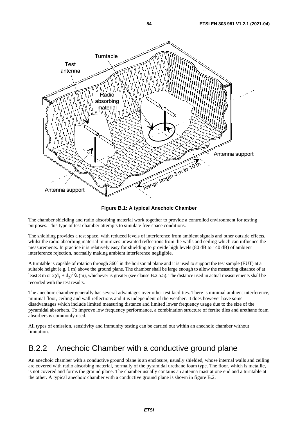

**Figure B.1: A typical Anechoic Chamber** 

The chamber shielding and radio absorbing material work together to provide a controlled environment for testing purposes. This type of test chamber attempts to simulate free space conditions.

The shielding provides a test space, with reduced levels of interference from ambient signals and other outside effects, whilst the radio absorbing material minimizes unwanted reflections from the walls and ceiling which can influence the measurements. In practice it is relatively easy for shielding to provide high levels (80 dB to 140 dB) of ambient interference rejection, normally making ambient interference negligible.

A turntable is capable of rotation through 360° in the horizontal plane and it is used to support the test sample (EUT) at a suitable height (e.g. 1 m) above the ground plane. The chamber shall be large enough to allow the measuring distance of at least 3 m or  $2(d_1 + d_2)^2/\lambda$  (m), whichever is greater (see clause B.2.5.5). The distance used in actual measurements shall be recorded with the test results.

The anechoic chamber generally has several advantages over other test facilities. There is minimal ambient interference, minimal floor, ceiling and wall reflections and it is independent of the weather. It does however have some disadvantages which include limited measuring distance and limited lower frequency usage due to the size of the pyramidal absorbers. To improve low frequency performance, a combination structure of ferrite tiles and urethane foam absorbers is commonly used.

All types of emission, sensitivity and immunity testing can be carried out within an anechoic chamber without limitation.

## B.2.2 Anechoic Chamber with a conductive ground plane

An anechoic chamber with a conductive ground plane is an enclosure, usually shielded, whose internal walls and ceiling are covered with radio absorbing material, normally of the pyramidal urethane foam type. The floor, which is metallic, is not covered and forms the ground plane. The chamber usually contains an antenna mast at one end and a turntable at the other. A typical anechoic chamber with a conductive ground plane is shown in figure B.2.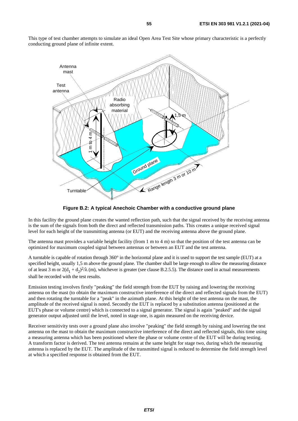This type of test chamber attempts to simulate an ideal Open Area Test Site whose primary characteristic is a perfectly conducting ground plane of infinite extent.



**Figure B.2: A typical Anechoic Chamber with a conductive ground plane** 

In this facility the ground plane creates the wanted reflection path, such that the signal received by the receiving antenna is the sum of the signals from both the direct and reflected transmission paths. This creates a unique received signal level for each height of the transmitting antenna (or EUT) and the receiving antenna above the ground plane.

The antenna mast provides a variable height facility (from 1 m to 4 m) so that the position of the test antenna can be optimized for maximum coupled signal between antennas or between an EUT and the test antenna.

A turntable is capable of rotation through 360° in the horizontal plane and it is used to support the test sample (EUT) at a specified height, usually 1,5 m above the ground plane. The chamber shall be large enough to allow the measuring distance of at least 3 m or  $2(d_1 + d_2)^2/\lambda$  (m), whichever is greater (see clause B.2.5.5). The distance used in actual measurements shall be recorded with the test results.

Emission testing involves firstly "peaking" the field strength from the EUT by raising and lowering the receiving antenna on the mast (to obtain the maximum constructive interference of the direct and reflected signals from the EUT) and then rotating the turntable for a "peak" in the azimuth plane. At this height of the test antenna on the mast, the amplitude of the received signal is noted. Secondly the EUT is replaced by a substitution antenna (positioned at the EUT's phase or volume centre) which is connected to a signal generator. The signal is again "peaked" and the signal generator output adjusted until the level, noted in stage one, is again measured on the receiving device.

Receiver sensitivity tests over a ground plane also involve "peaking" the field strength by raising and lowering the test antenna on the mast to obtain the maximum constructive interference of the direct and reflected signals, this time using a measuring antenna which has been positioned where the phase or volume centre of the EUT will be during testing. A transform factor is derived. The test antenna remains at the same height for stage two, during which the measuring antenna is replaced by the EUT. The amplitude of the transmitted signal is reduced to determine the field strength level at which a specified response is obtained from the EUT.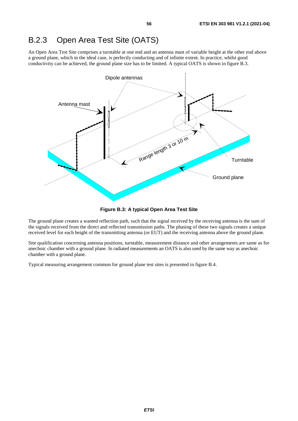# B.2.3 Open Area Test Site (OATS)

An Open Area Test Site comprises a turntable at one end and an antenna mast of variable height at the other end above a ground plane, which in the ideal case, is perfectly conducting and of infinite extent. In practice, whilst good conductivity can be achieved, the ground plane size has to be limited. A typical OATS is shown in figure B.3.



**Figure B.3: A typical Open Area Test Site** 

The ground plane creates a wanted reflection path, such that the signal received by the receiving antenna is the sum of the signals received from the direct and reflected transmission paths. The phasing of these two signals creates a unique received level for each height of the transmitting antenna (or EUT) and the receiving antenna above the ground plane.

Site qualification concerning antenna positions, turntable, measurement distance and other arrangements are same as for anechoic chamber with a ground plane. In radiated measurements an OATS is also used by the same way as anechoic chamber with a ground plane.

Typical measuring arrangement common for ground plane test sites is presented in figure B.4.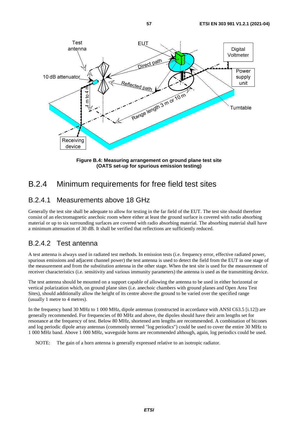

**Figure B.4: Measuring arrangement on ground plane test site (OATS set-up for spurious emission testing)** 

# B.2.4 Minimum requirements for free field test sites

## B.2.4.1 Measurements above 18 GHz

Generally the test site shall be adequate to allow for testing in the far field of the EUT. The test site should therefore consist of an electromagnetic anechoic room where either at least the ground surface is covered with radio absorbing material or up to six surrounding surfaces are covered with radio absorbing material. The absorbing material shall have a minimum attenuation of 30 dB. It shall be verified that reflections are sufficiently reduced.

## B.2.4.2 Test antenna

A test antenna is always used in radiated test methods. In emission tests (i.e. frequency error, effective radiated power, spurious emissions and adjacent channel power) the test antenna is used to detect the field from the EUT in one stage of the measurement and from the substitution antenna in the other stage. When the test site is used for the measurement of receiver characteristics (i.e. sensitivity and various immunity parameters) the antenna is used as the transmitting device.

The test antenna should be mounted on a support capable of allowing the antenna to be used in either horizontal or vertical polarization which, on ground plane sites (i.e. anechoic chambers with ground planes and Open Area Test Sites), should additionally allow the height of its centre above the ground to be varied over the specified range (usually 1 metre to 4 metres).

In the frequency band 30 MHz to 1 000 MHz, dipole antennas (constructed in accordance with ANSI C63.5 [[i.12](#page-10-0)]) are generally recommended. For frequencies of 80 MHz and above, the dipoles should have their arm lengths set for resonance at the frequency of test. Below 80 MHz, shortened arm lengths are recommended. A combination of bicones and log periodic dipole array antennas (commonly termed "log periodics") could be used to cover the entire 30 MHz to 1 000 MHz band. Above 1 000 MHz, waveguide horns are recommended although, again, log periodics could be used.

NOTE: The gain of a horn antenna is generally expressed relative to an isotropic radiator.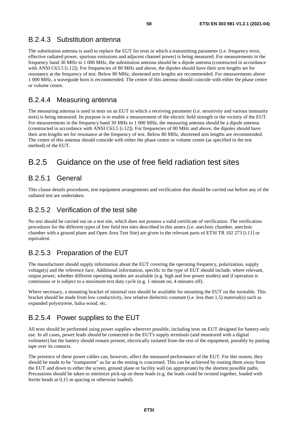## B.2.4.3 Substitution antenna

The substitution antenna is used to replace the EUT for tests in which a transmitting parameter (i.e. frequency error, effective radiated power, spurious emissions and adjacent channel power) is being measured. For measurements in the frequency band 30 MHz to 1 000 MHz, the substitution antenna should be a dipole antenna (constructed in accordance with ANSI C63.5 [[i.12\]](#page-10-0)). For frequencies of 80 MHz and above, the dipoles should have their arm lengths set for resonance at the frequency of test. Below 80 MHz, shortened arm lengths are recommended. For measurements above 1 000 MHz, a waveguide horn is recommended. The centre of this antenna should coincide with either the phase centre or volume centre.

## B.2.4.4 Measuring antenna

The measuring antenna is used in tests on an EUT in which a receiving parameter (i.e. sensitivity and various immunity tests) is being measured. Its purpose is to enable a measurement of the electric field strength in the vicinity of the EUT. For measurements in the frequency band 30 MHz to 1 000 MHz, the measuring antenna should be a dipole antenna (constructed in accordance with ANSI C63.5 [\[i.12](#page-10-0)]). For frequencies of 80 MHz and above, the dipoles should have their arm lengths set for resonance at the frequency of test. Below 80 MHz, shortened arm lengths are recommended. The centre of this antenna should coincide with either the phase centre or volume centre (as specified in the test method) of the EUT.

# B.2.5 Guidance on the use of free field radiation test sites

## B.2.5.1 General

This clause details procedures, test equipment arrangements and verification that should be carried out before any of the radiated test are undertaken.

## B.2.5.2 Verification of the test site

No test should be carried out on a test site, which does not possess a valid certificate of verification. The verification procedures for the different types of free field test sites described in this annex (i.e. anechoic chamber, anechoic chamber with a ground plane and Open Area Test Site) are given in the relevant parts of ETSI TR 102 273 [\[i.11](#page-10-0)] or equivalent.

## B.2.5.3 Preparation of the EUT

The manufacturer should supply information about the EUT covering the operating frequency, polarization, supply voltage(s) and the reference face. Additional information, specific to the type of EUT should include, where relevant, output power, whether different operating modes are available (e.g. high and low power modes) and if operation is continuous or is subject to a maximum test duty cycle (e.g. 1 minute on, 4 minutes off).

Where necessary, a mounting bracket of minimal size should be available for mounting the EUT on the turntable. This bracket should be made from low conductivity, low relative dielectric constant (i.e. less than 1,5) material(s) such as expanded polystyrene, balsa wood, etc.

## B.2.5.4 Power supplies to the EUT

All tests should be performed using power supplies wherever possible, including tests on EUT designed for battery-only use. In all cases, power leads should be connected to the EUT's supply terminals (and monitored with a digital voltmeter) but the battery should remain present, electrically isolated from the rest of the equipment, possibly by putting tape over its contacts.

The presence of these power cables can, however, affect the measured performance of the EUT. For this reason, they should be made to be "transparent" as far as the testing is concerned. This can be achieved by routing them away from the EUT and down to either the screen, ground plane or facility wall (as appropriate) by the shortest possible paths. Precautions should be taken to minimize pick-up on these leads (e.g. the leads could be twisted together, loaded with ferrite beads at 0,15 m spacing or otherwise loaded).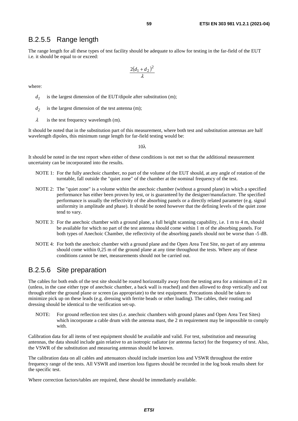### B.2.5.5 Range length

The range length for all these types of test facility should be adequate to allow for testing in the far-field of the EUT i.e. it should be equal to or exceed:

$$
\frac{2(d_1+d_2)^2}{\lambda}
$$

where:

- $d_1$  is the largest dimension of the EUT/dipole after substitution (m);
- $d_2$  is the largest dimension of the test antenna (m);
- $\lambda$  is the test frequency wavelength (m).

It should be noted that in the substitution part of this measurement, where both test and substitution antennas are half wavelength dipoles, this minimum range length for far-field testing would be:

 $10λ$ 

It should be noted in the test report when either of these conditions is not met so that the additional measurement uncertainty can be incorporated into the results.

- NOTE 1: For the fully anechoic chamber, no part of the volume of the EUT should, at any angle of rotation of the turntable, fall outside the "quiet zone" of the chamber at the nominal frequency of the test.
- NOTE 2: The "quiet zone" is a volume within the anechoic chamber (without a ground plane) in which a specified performance has either been proven by test, or is guaranteed by the designer/manufacture. The specified performance is usually the reflectivity of the absorbing panels or a directly related parameter (e.g. signal uniformity in amplitude and phase). It should be noted however that the defining levels of the quiet zone tend to vary.
- NOTE 3: For the anechoic chamber with a ground plane, a full height scanning capability, i.e. 1 m to 4 m, should be available for which no part of the test antenna should come within 1 m of the absorbing panels. For both types of Anechoic Chamber, the reflectivity of the absorbing panels should not be worse than -5 dB.
- NOTE 4: For both the anechoic chamber with a ground plane and the Open Area Test Site, no part of any antenna should come within 0,25 m of the ground plane at any time throughout the tests. Where any of these conditions cannot be met, measurements should not be carried out.

### B.2.5.6 Site preparation

The cables for both ends of the test site should be routed horizontally away from the testing area for a minimum of 2 m (unless, in the case either type of anechoic chamber, a back wall is reached) and then allowed to drop vertically and out through either the ground plane or screen (as appropriate) to the test equipment. Precautions should be taken to minimize pick up on these leads (e.g. dressing with ferrite beads or other loading). The cables, their routing and dressing should be identical to the verification set-up.

NOTE: For ground reflection test sites (i.e. anechoic chambers with ground planes and Open Area Test Sites) which incorporate a cable drum with the antenna mast, the 2 m requirement may be impossible to comply with.

Calibration data for all items of test equipment should be available and valid. For test, substitution and measuring antennas, the data should include gain relative to an isotropic radiator (or antenna factor) for the frequency of test. Also, the VSWR of the substitution and measuring antennas should be known.

The calibration data on all cables and attenuators should include insertion loss and VSWR throughout the entire frequency range of the tests. All VSWR and insertion loss figures should be recorded in the log book results sheet for the specific test.

Where correction factors/tables are required, these should be immediately available.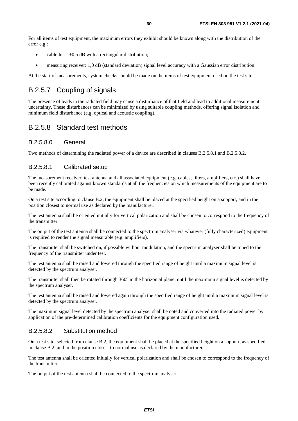For all items of test equipment, the maximum errors they exhibit should be known along with the distribution of the error e.g.:

- cable loss:  $\pm 0.5$  dB with a rectangular distribution;
- measuring receiver: 1,0 dB (standard deviation) signal level accuracy with a Gaussian error distribution.

At the start of measurements, system checks should be made on the items of test equipment used on the test site.

## B.2.5.7 Coupling of signals

The presence of leads in the radiated field may cause a disturbance of that field and lead to additional measurement uncertainty. These disturbances can be minimized by using suitable coupling methods, offering signal isolation and minimum field disturbance (e.g. optical and acoustic coupling).

## B.2.5.8 Standard test methods

### B.2.5.8.0 General

Two methods of determining the radiated power of a device are described in clauses B.2.5.8.1 and B.2.5.8.2.

### B.2.5.8.1 Calibrated setup

The measurement receiver, test antenna and all associated equipment (e.g. cables, filters, amplifiers, etc.) shall have been recently calibrated against known standards at all the frequencies on which measurements of the equipment are to be made.

On a test site according to clause B.2, the equipment shall be placed at the specified height on a support, and in the position closest to normal use as declared by the manufacturer.

The test antenna shall be oriented initially for vertical polarization and shall be chosen to correspond to the frequency of the transmitter.

The output of the test antenna shall be connected to the spectrum analyser via whatever (fully characterized) equipment is required to render the signal measurable (e.g. amplifiers).

The transmitter shall be switched on, if possible without modulation, and the spectrum analyser shall be tuned to the frequency of the transmitter under test.

The test antenna shall be raised and lowered through the specified range of height until a maximum signal level is detected by the spectrum analyser.

The transmitter shall then be rotated through 360° in the horizontal plane, until the maximum signal level is detected by the spectrum analyser.

The test antenna shall be raised and lowered again through the specified range of height until a maximum signal level is detected by the spectrum analyser.

The maximum signal level detected by the spectrum analyser shall be noted and converted into the radiated power by application of the pre-determined calibration coefficients for the equipment configuration used.

### B.2.5.8.2 Substitution method

On a test site, selected from clause B.2, the equipment shall be placed at the specified height on a support, as specified in clause B.2, and in the position closest to normal use as declared by the manufacturer.

The test antenna shall be oriented initially for vertical polarization and shall be chosen to correspond to the frequency of the transmitter.

The output of the test antenna shall be connected to the spectrum analyser.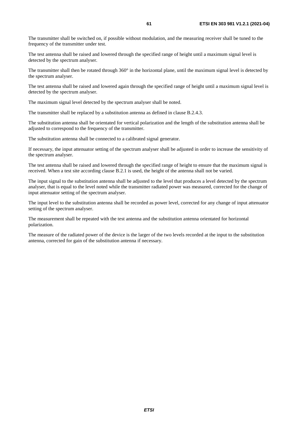The transmitter shall be switched on, if possible without modulation, and the measuring receiver shall be tuned to the frequency of the transmitter under test.

The test antenna shall be raised and lowered through the specified range of height until a maximum signal level is detected by the spectrum analyser.

The transmitter shall then be rotated through  $360^\circ$  in the horizontal plane, until the maximum signal level is detected by the spectrum analyser.

The test antenna shall be raised and lowered again through the specified range of height until a maximum signal level is detected by the spectrum analyser.

The maximum signal level detected by the spectrum analyser shall be noted.

The transmitter shall be replaced by a substitution antenna as defined in clause B.2.4.3.

The substitution antenna shall be orientated for vertical polarization and the length of the substitution antenna shall be adjusted to correspond to the frequency of the transmitter.

The substitution antenna shall be connected to a calibrated signal generator.

If necessary, the input attenuator setting of the spectrum analyser shall be adjusted in order to increase the sensitivity of the spectrum analyser.

The test antenna shall be raised and lowered through the specified range of height to ensure that the maximum signal is received. When a test site according clause B.2.1 is used, the height of the antenna shall not be varied.

The input signal to the substitution antenna shall be adjusted to the level that produces a level detected by the spectrum analyser, that is equal to the level noted while the transmitter radiated power was measured, corrected for the change of input attenuator setting of the spectrum analyser.

The input level to the substitution antenna shall be recorded as power level, corrected for any change of input attenuator setting of the spectrum analyser.

The measurement shall be repeated with the test antenna and the substitution antenna orientated for horizontal polarization.

The measure of the radiated power of the device is the larger of the two levels recorded at the input to the substitution antenna, corrected for gain of the substitution antenna if necessary.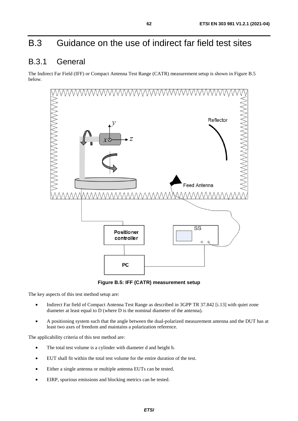# B.3 Guidance on the use of indirect far field test sites

# B.3.1 General

The Indirect Far Field (IFF) or Compact Antenna Test Range (CATR) measurement setup is shown in Figure B.5 below.



**Figure B.5: IFF (CATR) measurement setup** 

The key aspects of this test method setup are:

- Indirect Far field of Compact Antenna Test Range as described in 3GPP TR 37.842 [\[i.13\]](#page-10-0) with quiet zone diameter at least equal to D (where D is the nominal diameter of the antenna).
- A positioning system such that the angle between the dual-polarized measurement antenna and the DUT has at least two axes of freedom and maintains a polarization reference.

The applicability criteria of this test method are:

- The total test volume is a cylinder with diameter d and height h.
- EUT shall fit within the total test volume for the entire duration of the test.
- Either a single antenna or multiple antenna EUTs can be tested.
- EIRP, spurious emissions and blocking metrics can be tested.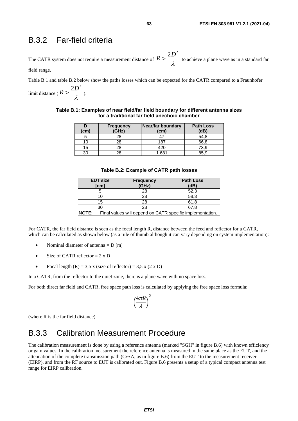## B.3.2 Far-field criteria

The CATR system does not require a measurement distance of  $R > \frac{2D^2}{\lambda}$  to achieve a plane wave as in a standard far field range.

Table B.1 and table B.2 below show the paths losses which can be expected for the CATR compared to a Fraunhofer

limit distance ( $R > \frac{2D^2}{\lambda}$ ).

| Table B.1: Examples of near field/far field boundary for different antenna sizes |
|----------------------------------------------------------------------------------|
| for a traditional far field anechoic chamber                                     |

| (cm) | <b>Frequency</b><br>(GHz) | <b>Near/far boundary</b><br>(cm) | <b>Path Loss</b><br>(dB) |
|------|---------------------------|----------------------------------|--------------------------|
|      | 28                        |                                  | 54,8                     |
| 10   | 28                        | 187                              | 66,8                     |
| 15   | 28                        | 420                              | 73.9                     |
| 30   | 28                        | 1 681                            | 85 9                     |

#### **Table B.2: Example of CATR path losses**

| <b>EUT size</b><br>[cm] |  | <b>Frequency</b><br>(GHz) | <b>Path Loss</b><br>(dB)                                  |  |
|-------------------------|--|---------------------------|-----------------------------------------------------------|--|
|                         |  | 28                        | 52,3                                                      |  |
| 10                      |  | 28                        | 58,3                                                      |  |
| 15                      |  | 28                        | 61.8                                                      |  |
| 30                      |  | 28                        | 67.8                                                      |  |
| NOTE:                   |  |                           | Final values will depend on CATR specific implementation. |  |

For CATR, the far field distance is seen as the focal length R, distance between the feed and reflector for a CATR, which can be calculated as shown below (as a rule of thumb although it can vary depending on system implementation):

- Nominal diameter of antenna  $= D \text{ [m]}$
- Size of CATR reflector  $= 2 \times D$
- Focal length  $(R) = 3.5$  x (size of reflector) = 3.5 x (2 x D)

In a CATR, from the reflector to the quiet zone, there is a plane wave with no space loss.

For both direct far field and CATR, free space path loss is calculated by applying the free space loss formula:

$$
\left(\frac{4\pi R}{\lambda}\right)^2
$$

(where R is the far field distance)

## B.3.3 Calibration Measurement Procedure

The calibration measurement is done by using a reference antenna (marked "SGH" in figure B.6) with known efficiency or gain values. In the calibration measurement the reference antenna is measured in the same place as the EUT, and the attenuation of the complete transmission path ( $C \leftrightarrow A$ , as in figure B.6) from the EUT to the measurement receiver (EIRP), and from the RF source to EUT is calibrated out. Figure B.6 presents a setup of a typical compact antenna test range for EIRP calibration.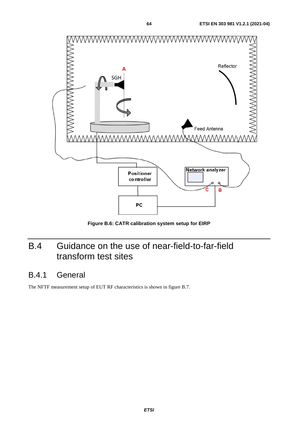

**Figure B.6: CATR calibration system setup for EIRP** 

# B.4 Guidance on the use of near-field-to-far-field transform test sites

# B.4.1 General

The NFTF measurement setup of EUT RF characteristics is shown in figure B.7.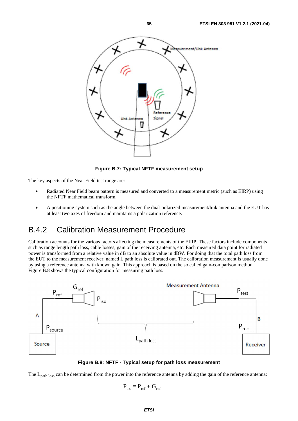

**Figure B.7: Typical NFTF measurement setup** 

The key aspects of the Near Field test range are:

- Radiated Near Field beam pattern is measured and converted to a measurement metric (such as EIRP) using the NFTF mathematical transform.
- A positioning system such as the angle between the dual-polarized measurement/link antenna and the EUT has at least two axes of freedom and maintains a polarization reference.

## B.4.2 Calibration Measurement Procedure

Calibration accounts for the various factors affecting the measurements of the EIRP. These factors include components such as range length path loss, cable losses, gain of the receiving antenna, etc. Each measured data point for radiated power is transformed from a relative value in dB to an absolute value in dBW. For doing that the total path loss from the EUT to the measurement receiver, named L path loss is calibrated out. The calibration measurement is usually done by using a reference antenna with known gain. This approach is based on the so called gain-comparison method. Figure B.8 shows the typical configuration for measuring path loss.





The L<sub>path loss</sub> can be determined from the power into the reference antenna by adding the gain of the reference antenna:

$$
\mathbf{P}_{\text{iso}} = \mathbf{P}_{\text{ref}} + \mathbf{G}_{\text{ref}}
$$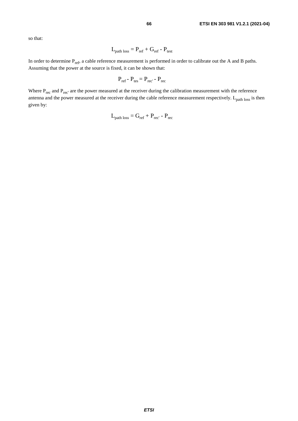so that:

$$
L_{\text{path loss}} = P_{\text{ref}} + G_{\text{ref}} - P_{\text{test}}
$$

In order to determine  $P_{ref}$ , a cable reference measurement is performed in order to calibrate out the A and B paths. Assuming that the power at the source is fixed, it can be shown that:

$$
\mathbf{P}_{\text{ref}} - \mathbf{P}_{\text{tes}} = \mathbf{P}_{\text{rec}} - \mathbf{P}_{\text{rec}}
$$

Where  $P_{rec}$  and  $P_{rec'}$  are the power measured at the receiver during the calibration measurement with the reference antenna and the power measured at the receiver during the cable reference measurement respectively.  $L_{path loss}$  is then given by:

$$
L_{\text{path loss}} = G_{\text{ref}} + P_{\text{rec'}} - P_{\text{rec}}
$$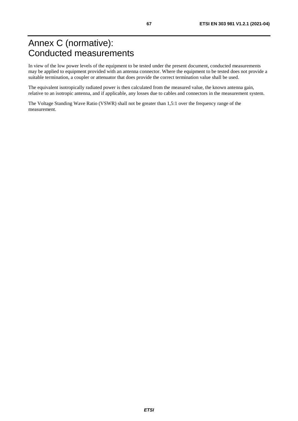# Annex C (normative): Conducted measurements

In view of the low power levels of the equipment to be tested under the present document, conducted measurements may be applied to equipment provided with an antenna connector. Where the equipment to be tested does not provide a suitable termination, a coupler or attenuator that does provide the correct termination value shall be used.

The equivalent isotropically radiated power is then calculated from the measured value, the known antenna gain, relative to an isotropic antenna, and if applicable, any losses due to cables and connectors in the measurement system.

The Voltage Standing Wave Ratio (VSWR) shall not be greater than 1,5:1 over the frequency range of the measurement.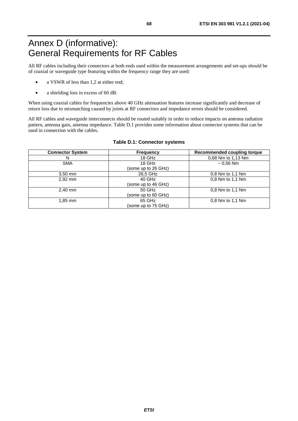# Annex D (informative): General Requirements for RF Cables

All RF cables including their connectors at both ends used within the measurement arrangements and set-ups should be of coaxial or waveguide type featuring within the frequency range they are used:

- a VSWR of less than 1,2 at either end;
- a shielding loss in excess of 60 dB.

When using coaxial cables for frequencies above 40 GHz attenuation features increase significantly and decrease of return loss due to mismatching caused by joints at RF connectors and impedance errors should be considered.

All RF cables and waveguide interconnects should be routed suitably in order to reduce impacts on antenna radiation pattern, antenna gain, antenna impedance. Table D.1 provides some information about connector systems that can be used in connection with the cables.

| <b>Connector System</b> | <b>Frequency</b>    | <b>Recommended coupling torque</b> |
|-------------------------|---------------------|------------------------------------|
| N                       | 18 GHz              | 0,68 Nm to 1,13 Nm                 |
| <b>SMA</b>              | 18 GHz              | $~1$ 0.56 Nm                       |
|                         | (some up to 26 GHz) |                                    |
| $3,50$ mm               | 26,5 GHz            | 0.8 Nm to 1.1 Nm                   |
| 2,92 mm                 | 40 GHz              | 0.8 Nm to 1.1 Nm                   |
|                         | (some up to 46 GHz) |                                    |
| $2.40$ mm               | $50$ GHz            | 0.8 Nm to 1.1 Nm                   |
|                         | (some up to 60 GHz) |                                    |
| $1,85$ mm               | 65 GHz              | 0.8 Nm to 1.1 Nm                   |
|                         | (some up to 75 GHz) |                                    |

#### **Table D.1: Connector systems**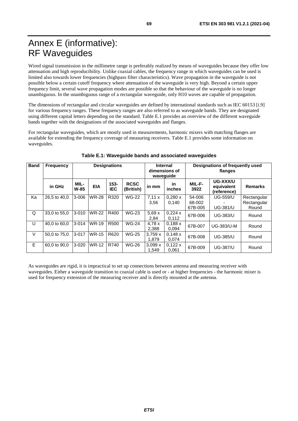# Annex E (informative): RF Waveguides

Wired signal transmission in the millimetre range is preferably realized by means of waveguides because they offer low attenuation and high reproducibility. Unlike coaxial cables, the frequency range in which waveguides can be used is limited also towards lower frequencies (highpass filter characteristics). Wave propagation in the waveguide is not possible below a certain cutoff frequency where attenuation of the waveguide is very high. Beyond a certain upper frequency limit, several wave propagation modes are possible so that the behaviour of the waveguide is no longer unambiguous. In the unambiguous range of a rectangular waveguide, only H10 waves are capable of propagation.

The dimensions of rectangular and circular waveguides are defined by international standards such as IEC 60153 [[i.9](#page-10-0)] for various frequency ranges. These frequency ranges are also referred to as waveguide bands. They are designated using different capital letters depending on the standard. Table E.1 provides an overview of the different waveguide bands together with the designations of the associated waveguides and flanges.

For rectangular waveguides, which are mostly used in measurements, harmonic mixers with matching flanges are available for extending the frequency coverage of measuring receivers. Table E.1 provides some information on waveguides.

| <b>Band</b> | Frequency    | <b>Designations</b> |              | <b>Internal</b><br>dimensions of<br>wavequide |                          | Designations of frequently used<br>flanges |                     |                             |                                       |                                     |
|-------------|--------------|---------------------|--------------|-----------------------------------------------|--------------------------|--------------------------------------------|---------------------|-----------------------------|---------------------------------------|-------------------------------------|
|             | in GHz       | MIL-<br>W-85        | <b>EIA</b>   | $153 -$<br><b>IEC</b>                         | <b>RCSC</b><br>(British) | in mm                                      | <b>in</b><br>inches | MIL-F-<br>3922              | UG-XXX/U<br>equivalent<br>(reference) | <b>Remarks</b>                      |
| Ka          | 26.5 to 40.0 | $3 - 006$           | <b>WR-28</b> | R320                                          | <b>WG-22</b>             | 7,11x<br>3,56                              | 0.280 x<br>0,140    | 54-006<br>68-002<br>67B-005 | <b>UG-559/U</b><br><b>UG-381/U</b>    | Rectangular<br>Rectangular<br>Round |
| Q           | 33,0 to 55,0 | $3 - 010$           | <b>WR-22</b> | R400                                          | <b>WG-23</b>             | 5,69x<br>2,84                              | 0,224x<br>0,112     | 67B-006                     | <b>UG-383/U</b>                       | Round                               |
| U           | 40.0 to 60.0 | $3 - 014$           | <b>WR-19</b> | R <sub>500</sub>                              | <b>WG-24</b>             | 4.78x<br>2,388                             | 0,188x<br>0.094     | 67B-007                     | <b>UG-383/U-M</b>                     | Round                               |
| V           | 50.0 to 75.0 | $3 - 017$           | <b>WR-15</b> | R620                                          | <b>WG-25</b>             | 3,759x<br>1.879                            | 0,148x<br>0.074     | 67B-008                     | <b>UG-385/U</b>                       | Round                               |
| E           | 60.0 to 90.0 | $3 - 020$           | <b>WR-12</b> | R740                                          | <b>WG-26</b>             | 3.099x<br>1.549                            | 0,122x<br>0.061     | 67B-009                     | <b>UG-387/U</b>                       | Round                               |

#### **Table E.1: Waveguide bands and associated waveguides**

As waveguides are rigid, it is impractical to set up connections between antenna and measuring receiver with waveguides. Either a waveguide transition to coaxial cable is used or - at higher frequencies - the harmonic mixer is used for frequency extension of the measuring receiver and is directly mounted at the antenna.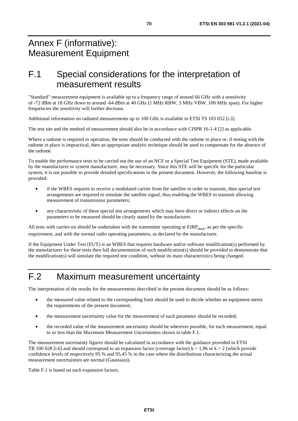# Annex F (informative): Measurement Equipment

# F.1 Special considerations for the interpretation of measurement results

"Standard" measurement equipment is available up to a frequency range of around 66 GHz with a sensitivity of -72 dBm at 18 GHz down to around -64 dBm at 40 GHz (1 MHz RBW, 3 MHz VBW, 100 MHz span). For higher frequencies the sensitivity will further decrease.

Additional information on radiated measurements up to 100 GHz is available in ETSI TS 103 052 [\[i.3\]](#page-9-0).

The test site and the method of measurement should also be in accordance with CISPR 16-1-4 [\[2](#page-9-0)] as applicable.

Where a radome is required in operation, the tests should be conducted with the radome in place or, if testing with the radome in place is impractical, then an appropriate analytic technique should be used to compensate for the absence of the radome.

To enable the performance tests to be carried out the use of an NCF or a Special Test Equipment (STE), made available by the manufacturer or system manufacturer, may be necessary. Since this STE will be specific for the particular system, it is not possible to provide detailed specifications in the present document. However, the following baseline is provided:

- if the WBES requires to receive a modulated carrier from the satellite in order to transmit, then special test arrangements are required to simulate the satellite signal, thus enabling the WBES to transmit allowing measurement of transmission parameters;
- any characteristic of these special test arrangements which may have direct or indirect effects on the parameters to be measured should be clearly stated by the manufacturer.

All tests with carrier-on should be undertaken with the transmitter operating at  $EIRP<sub>max</sub>$ , as per the specific requirement, and with the normal radio operating parameters, as declared by the manufacturer.

If the Equipment Under Test (EUT) is an WBES that requires hardware and/or software modification(s) performed by the manufacturer for these tests then full documentation of such modification(s) should be provided to demonstrate that the modification(s) will simulate the required test condition, without its main characteristics being changed.

# F.2 Maximum measurement uncertainty

The interpretation of the results for the measurements described in the present document should be as follows:

- the measured value related to the corresponding limit should be used to decide whether an equipment meets the requirements of the present document;
- the measurement uncertainty value for the measurement of each parameter should be recorded;
- the recorded value of the measurement uncertainty should be wherever possible, for each measurement, equal to or less than the Maximum Measurement Uncertainties shown in table F.1.

The measurement uncertainty figures should be calculated in accordance with the guidance provided in ETSI TR 100 028 [\[i.6](#page-10-0)] and should correspond to an expansion factor (coverage factor)  $k = 1,96$  or  $k = 2$  (which provide confidence levels of respectively 95 % and 95,45 % in the case where the distributions characterizing the actual measurement uncertainties are normal (Gaussian)).

Table F.1 is based on such expansion factors.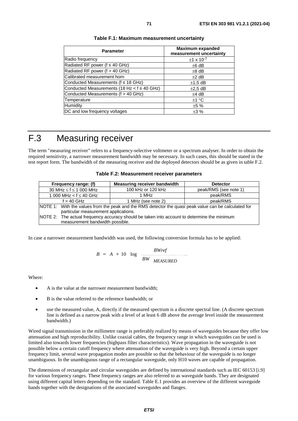| <b>Parameter</b>                                 | <b>Maximum expanded</b><br>measurement uncertainty |
|--------------------------------------------------|----------------------------------------------------|
| Radio frequency                                  | $±1 \times 10^{-7}$                                |
| Radiated RF power ( $f \leq 40$ GHz)             | $±6$ dB                                            |
| Radiated RF power (f > 40 GHz)                   | $±8$ dB                                            |
| Calibrated measurement horn                      | $±2$ dB                                            |
| Conducted Measurements ( $f \leq 18$ GHz)        | $±1,5$ dB                                          |
| Conducted Measurements (18 Hz < $f \leq 40$ GHz) | $\pm 2.5$ dB                                       |
| Conducted Measurements (f > 40 GHz)              | $±4$ dB                                            |
| Temperature                                      | ±1 °C                                              |
| <b>Humidity</b>                                  | ±5%                                                |
| DC and low frequency voltages                    | ±3%                                                |

#### **Table F.1: Maximum measurement uncertainty**

# F.3 Measuring receiver

The term "measuring receiver" refers to a frequency-selective voltmeter or a spectrum analyser. In order to obtain the required sensitivity, a narrower measurement bandwidth may be necessary. In such cases, this should be stated in the test report form. The bandwidth of the measuring receiver and the deployed detectors should be as given in table F.2.

| Table F.2: Measurement receiver parameters |  |
|--------------------------------------------|--|
|--------------------------------------------|--|

| Frequency range: (f)                                                                                                           | <b>Measuring receiver bandwidth</b>  | <b>Detector</b>       |  |  |  |  |  |
|--------------------------------------------------------------------------------------------------------------------------------|--------------------------------------|-----------------------|--|--|--|--|--|
| 30 MHz $\leq$ f $\leq$ 1 000 MHz                                                                                               | 100 kHz or 120 kHz                   | peak/RMS (see note 1) |  |  |  |  |  |
| 1 000 MHz < $f \leq 40$ GHz                                                                                                    | 1 MHz                                | peak/RMS              |  |  |  |  |  |
| $f > 40$ GHz                                                                                                                   | 1 MHz (see note 2)                   | peak/RMS              |  |  |  |  |  |
| NOTE 1: With the values from the peak and the RMS detector the quasi peak value can be calculated for                          |                                      |                       |  |  |  |  |  |
|                                                                                                                                | particular measurement applications. |                       |  |  |  |  |  |
| NOTE 2: The actual frequency accuracy should be taken into account to determine the minimum<br>measurement bandwidth possible. |                                      |                       |  |  |  |  |  |

In case a narrower measurement bandwidth was used, the following conversion formula has to be applied:

$$
B = A + 10 \log \frac{BWref}{BW \text{ MEASURED}}
$$

Where:

- A is the value at the narrower measurement bandwidth;
- B is the value referred to the reference bandwidth; or
- use the measured value, A, directly if the measured spectrum is a discrete spectral line. (A discrete spectrum line is defined as a narrow peak with a level of at least 6 dB above the average level inside the measurement bandwidth.)

Wired signal transmission in the millimetre range is preferably realized by means of waveguides because they offer low attenuation and high reproducibility. Unlike coaxial cables, the frequency range in which waveguides can be used is limited also towards lower frequencies (highpass filter characteristics). Wave propagation in the waveguide is not possible below a certain cutoff frequency where attenuation of the waveguide is very high. Beyond a certain upper frequency limit, several wave propagation modes are possible so that the behaviour of the waveguide is no longer unambiguous. In the unambiguous range of a rectangular waveguide, only H10 waves are capable of propagation.

The dimensions of rectangular and circular waveguides are defined by international standards such as IEC 60153 [[i.9](#page-10-0)] for various frequency ranges. These frequency ranges are also referred to as waveguide bands. They are designated using different capital letters depending on the standard. Table E.1 provides an overview of the different waveguide bands together with the designations of the associated waveguides and flanges.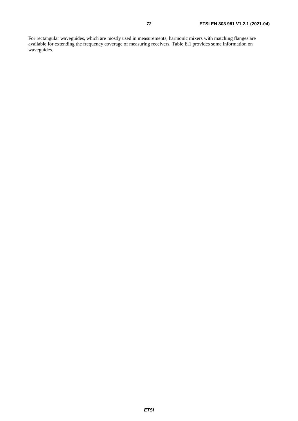For rectangular waveguides, which are mostly used in measurements, harmonic mixers with matching flanges are available for extending the frequency coverage of measuring receivers. Table E.1 provides some information on waveguides.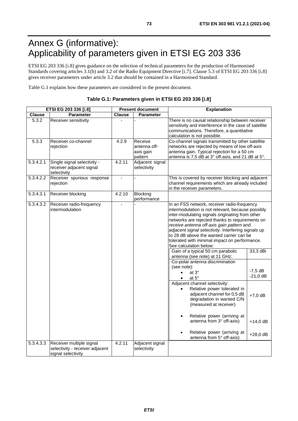## Annex G (informative): Applicability of parameters given in ETSI EG 203 336

ETSI EG 203 336 [\[i.8\]](#page-10-0) gives guidance on the selection of technical parameters for the production of Harmonised Standards covering articles 3.1(b) and 3.2 of the Radio Equipment Directive [\[i.7\]](#page-10-0). Clause 5.3 of ETSI EG 203 336 [\[i.8](#page-10-0)] gives receiver parameters under article 3.2 that should be contained in a Harmonised Standard.

Table G.1 explains how these parameters are considered in the present document.

| Table G.1: Parameters given in ETSI EG 203 336 [i.8] |  |
|------------------------------------------------------|--|
|------------------------------------------------------|--|

| ETSI EG 203 336 [i.8] |                                                                                   | <b>Present document</b> |                                                 | <b>Explanation</b>                                                                                                                                                                                                                                                                                                                                                                                                                                                     |                         |  |
|-----------------------|-----------------------------------------------------------------------------------|-------------------------|-------------------------------------------------|------------------------------------------------------------------------------------------------------------------------------------------------------------------------------------------------------------------------------------------------------------------------------------------------------------------------------------------------------------------------------------------------------------------------------------------------------------------------|-------------------------|--|
| Clause                | <b>Parameter</b>                                                                  | <b>Clause</b>           | <b>Parameter</b>                                |                                                                                                                                                                                                                                                                                                                                                                                                                                                                        |                         |  |
| 5.3.2                 | Receiver sensitivity                                                              |                         |                                                 | There is no causal relationship between receiver<br>sensitivity and interference in the case of satellite<br>communications. Therefore, a quantitative<br>calculation is not possible.                                                                                                                                                                                                                                                                                 |                         |  |
| 5.3.3                 | Receiver co-channel<br>rejection                                                  | 4.2.9                   | Receive<br>antenna off-<br>axis gain<br>pattern | Co-channel signals transmitted by other satellite<br>networks are rejected by means of low off-axis<br>antenna gain. Typical rejection for a 50 cm<br>antenna is 7,5 dB at 3° off-axis, and 21 dB at 5°.                                                                                                                                                                                                                                                               |                         |  |
| 5.3.4.2.1             | Single signal selectivity -<br>receiver adjacent signal<br>selectivity            | 4.2.11                  | Adjacent signal<br>selectivity                  |                                                                                                                                                                                                                                                                                                                                                                                                                                                                        |                         |  |
| 5.3.4.2.2             | Receiver spurious response<br>rejection                                           |                         |                                                 | This is covered by receiver blocking and adjacent<br>channel requirements which are already included<br>in the receiver parameters.                                                                                                                                                                                                                                                                                                                                    |                         |  |
| 5.3.4.3.1             | Receiver blocking                                                                 | 4.2.10                  | Blocking<br>performance                         |                                                                                                                                                                                                                                                                                                                                                                                                                                                                        |                         |  |
| 5.3.4.3.2             | Receiver radio-frequency<br>intermodulation                                       |                         |                                                 | In an FSS network, receiver radio-frequency<br>intermodulation is not relevant, because possibly<br>inter-modulating signals originating from other<br>networks are rejected thanks to requirements on<br>receive antenna off-axis gain pattern and<br>adjacent signal selectivity. Interfering signals up<br>to 28 dB above the wanted carrier can be<br>tolerated with minimal impact on performance.<br>See calculation below:<br>Gain of a typical 50 cm parabolic | 33,3 dBi                |  |
|                       |                                                                                   |                         |                                                 | antenna (see note) at 11 GHz:<br>Co-polar antenna discrimination                                                                                                                                                                                                                                                                                                                                                                                                       |                         |  |
|                       |                                                                                   |                         |                                                 | (see note):<br>at $3^\circ$<br>$\bullet$<br>at 5°<br>$\bullet$                                                                                                                                                                                                                                                                                                                                                                                                         | $-7,5$ dB<br>$-21,0$ dB |  |
|                       |                                                                                   |                         |                                                 | Adjacent channel selectivity:<br>Relative power tolerated in<br>adjacent channel for 0,5 dB<br>degradation in wanted C/N<br>(measured at receiver)                                                                                                                                                                                                                                                                                                                     | $+7,0$ dB               |  |
|                       |                                                                                   |                         |                                                 | Relative power (arriving at<br>$\bullet$<br>antenna from 3° off-axis)                                                                                                                                                                                                                                                                                                                                                                                                  | $+14,0$ dB              |  |
|                       |                                                                                   |                         |                                                 | Relative power (arriving at<br>antenna from 5° off-axis)                                                                                                                                                                                                                                                                                                                                                                                                               | $+28,0$ dB              |  |
| 5.3.4.3.3             | Receiver multiple signal<br>selectivity - receiver adjacent<br>signal selectivity | 4.2.11                  | Adjacent signal<br>selectivity                  |                                                                                                                                                                                                                                                                                                                                                                                                                                                                        |                         |  |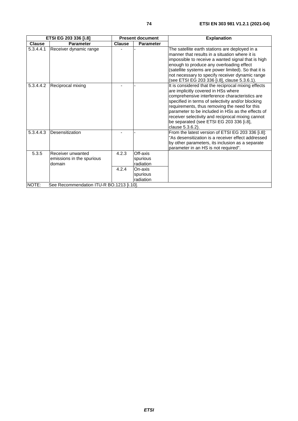| <b>ETSI EG 203 336 [i.8]</b>                      |                           | <b>Present document</b> |                  | <b>Explanation</b>                                                                                                                                                                                                                                                                                                                                                                                                           |  |
|---------------------------------------------------|---------------------------|-------------------------|------------------|------------------------------------------------------------------------------------------------------------------------------------------------------------------------------------------------------------------------------------------------------------------------------------------------------------------------------------------------------------------------------------------------------------------------------|--|
| <b>Clause</b>                                     | <b>Parameter</b>          | <b>Clause</b>           | <b>Parameter</b> |                                                                                                                                                                                                                                                                                                                                                                                                                              |  |
| 5.3.4.4.1                                         | Receiver dynamic range    |                         |                  | The satellite earth stations are deployed in a<br>manner that results in a situation where it is<br>impossible to receive a wanted signal that is high<br>enough to produce any overloading effect<br>(satellite systems are power limited). So that it is<br>not necessary to specify receiver dynamic range<br>(see ETSI EG 203 336 [i.8], clause 5.3.6.1).                                                                |  |
| 5.3.4.4.2                                         | Reciprocal mixing         |                         |                  | It is considered that the reciprocal mixing effects<br>are implicitly covered in HSs where<br>comprehensive interference characteristics are<br>specified in terms of selectivity and/or blocking<br>requirements, thus removing the need for this<br>parameter to be included in HSs as the effects of<br>receiver selectivity and reciprocal mixing cannot<br>be separated (see ETSI EG 203 336 [i.8],<br>clause 5.3.6.2). |  |
| 5.3.4.4.3                                         | Desensitization           |                         |                  | From the latest version of ETSI EG 203 336 [i.8]:<br>"As desensitization is a receiver effect addressed<br>by other parameters, its inclusion as a separate<br>parameter in an HS is not required".                                                                                                                                                                                                                          |  |
| 5.3.5                                             | Receiver unwanted         | 4.2.3                   | Off-axis         |                                                                                                                                                                                                                                                                                                                                                                                                                              |  |
|                                                   | emissions in the spurious |                         | spurious         |                                                                                                                                                                                                                                                                                                                                                                                                                              |  |
|                                                   | domain                    |                         | radiation        |                                                                                                                                                                                                                                                                                                                                                                                                                              |  |
|                                                   |                           | 4.2.4                   | On-axis          |                                                                                                                                                                                                                                                                                                                                                                                                                              |  |
|                                                   |                           |                         | spurious         |                                                                                                                                                                                                                                                                                                                                                                                                                              |  |
|                                                   |                           |                         | radiation        |                                                                                                                                                                                                                                                                                                                                                                                                                              |  |
| NOTE:<br>See Recommendation ITU-R BO.1213 [i.10]. |                           |                         |                  |                                                                                                                                                                                                                                                                                                                                                                                                                              |  |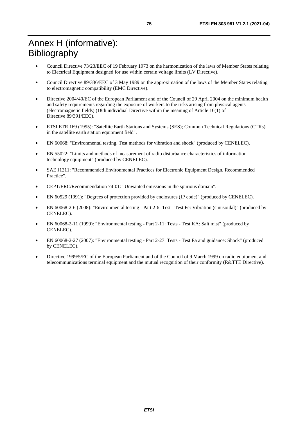## Annex H (informative): Bibliography

- Council Directive 73/23/EEC of 19 February 1973 on the harmonization of the laws of Member States relating to Electrical Equipment designed for use within certain voltage limits (LV Directive).
- Council Directive 89/336/EEC of 3 May 1989 on the approximation of the laws of the Member States relating to electromagnetic compatibility (EMC Directive).
- Directive 2004/40/EC of the European Parliament and of the Council of 29 April 2004 on the minimum health and safety requirements regarding the exposure of workers to the risks arising from physical agents (electromagnetic fields) (18th individual Directive within the meaning of Article 16(1) of Directive 89/391/EEC).
- ETSI ETR 169 (1995): "Satellite Earth Stations and Systems (SES); Common Technical Regulations (CTRs) in the satellite earth station equipment field".
- EN 60068: "Environmental testing. Test methods for vibration and shock" (produced by CENELEC).
- EN 55022: "Limits and methods of measurement of radio disturbance characteristics of information technology equipment" (produced by CENELEC).
- SAE J1211: "Recommended Environmental Practices for Electronic Equipment Design, Recommended Practice".
- CEPT/ERC/Recommendation 74-01: "Unwanted emissions in the spurious domain".
- EN 60529 (1991): "Degrees of protection provided by enclosures (IP code)" (produced by CENELEC).
- EN 60068-2-6 (2008): "Environmental testing Part 2-6: Test Test Fc: Vibration (sinusoidal)" (produced by CENELEC).
- EN 60068-2-11 (1999): "Environmental testing Part 2-11: Tests Test KA: Salt mist" (produced by CENELEC).
- EN 60068-2-27 (2007): "Environmental testing Part 2-27: Tests Test Ea and guidance: Shock" (produced by CENELEC).
- Directive 1999/5/EC of the European Parliament and of the Council of 9 March 1999 on radio equipment and telecommunications terminal equipment and the mutual recognition of their conformity (R&TTE Directive).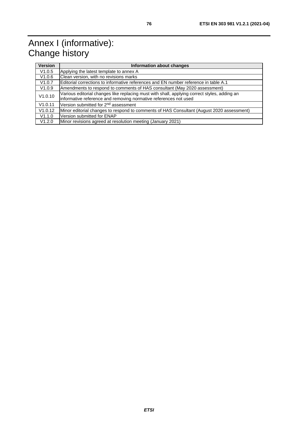## Annex I (informative): Change history

| <b>Version</b> | Information about changes                                                                    |  |  |  |  |
|----------------|----------------------------------------------------------------------------------------------|--|--|--|--|
| V1.0.5         | Applying the latest template to annex A                                                      |  |  |  |  |
| V1.0.6         | Clean version, with no revisions marks                                                       |  |  |  |  |
| V1.0.7         | Editorial corrections to informative references and EN number reference in table A.1         |  |  |  |  |
| V1.0.9         | Amendments to respond to comments of HAS consultant (May 2020 assessment)                    |  |  |  |  |
| V1.0.10        | Various editorial changes like replacing must with shall, applying correct styles, adding an |  |  |  |  |
|                | informative reference and removing normative references not used                             |  |  |  |  |
| V1.0.11        | Version submitted for 2 <sup>nd</sup> assessment                                             |  |  |  |  |
| V1.0.12        | Minor editorial changes to respond to comments of HAS Consultant (August 2020 assessment)    |  |  |  |  |
| V1.1.0         | Version submitted for ENAP                                                                   |  |  |  |  |
| V1.2.0         | Minor revisions agreed at resolution meeting (January 2021)                                  |  |  |  |  |